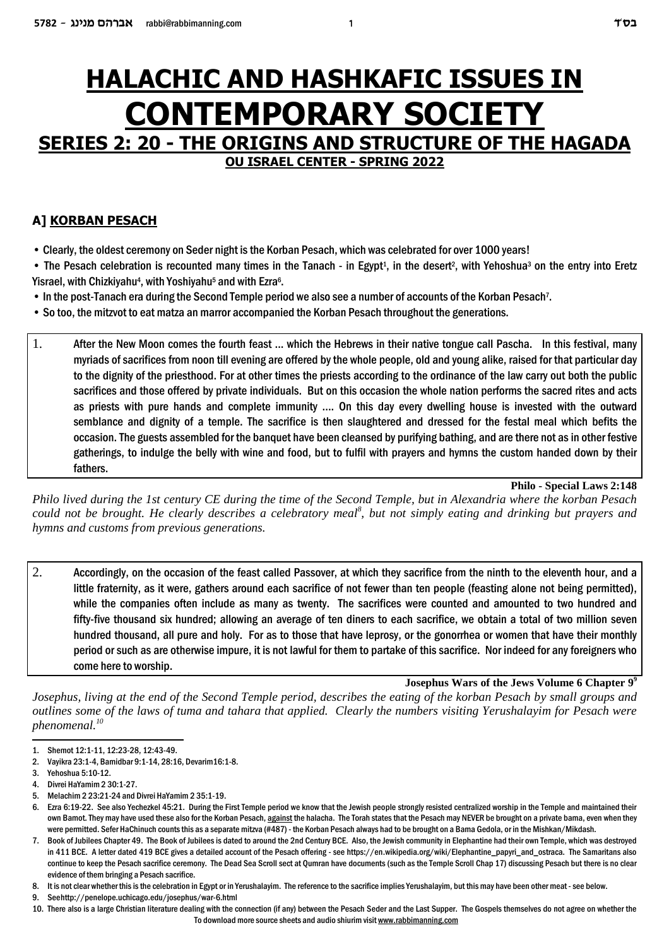# **HALACHIC AND HASHKAFIC ISSUES IN CONTEMPORARY SOCIETY SERIES 2: 20 - THE ORIGINS AND STRUCTURE OF THE HAGADA**

**OU ISRAEL CENTER - SPRING 2022**

# **A] KORBAN PESACH**

- Clearly, the oldest ceremony on Seder night is the Korban Pesach, which was celebrated for over 1000 years!
- The Pesach celebration is recounted many times in the Tanach in Egypt<sup>1</sup>, in the desert<sup>2</sup>, with Yehoshua<sup>3</sup> on the entry into Eretz Yisrael, with Chizkiyahu<sup>4</sup>, with Yoshiyahu<sup>5</sup> and with Ezra<sup>6</sup>.
- In the post-Tanach era during the Second Temple period we also see a number of accounts of the Korban Pesach<sup>7</sup> .
- So too, the mitzvot to eat matza an marror accompanied the Korban Pesach throughout the generations.
- 1. After the New Moon comes the fourth feast ... which the Hebrews in their native tongue call Pascha. In this festival, many myriads of sacrifices from noon till evening are offered by the whole people, old and young alike, raised for that particular day to the dignity of the priesthood. For at other times the priests according to the ordinance of the law carry out both the public sacrifices and those offered by private individuals. But on this occasion the whole nation performs the sacred rites and acts as priests with pure hands and complete immunity .... On this day every dwelling house is invested with the outward semblance and dignity of a temple. The sacrifice is then slaughtered and dressed for the festal meal which befits the occasion. The guests assembled for the banquet have been cleansed by purifying bathing, and are there not as in other festive gatherings, to indulge the belly with wine and food, but to fulfil with prayers and hymns the custom handed down by their fathers.

#### **Philo - Special Laws 2:148**

*Philo lived during the 1st century CE during the time of the Second Temple, but in Alexandria where the korban Pesach* could not be brought. He clearly describes a celebratory meal<sup>8</sup>, but not simply eating and drinking but prayers and *hymns and customs from previous generations.* 

2. Accordingly, on the occasion of the feast called Passover, at which they sacrifice from the ninth to the eleventh hour, and a little fraternity, as it were, gathers around each sacrifice of not fewer than ten people (feasting alone not being permitted), while the companies often include as many as twenty. The sacrifices were counted and amounted to two hundred and fifty-five thousand six hundred; allowing an average of ten diners to each sacrifice, we obtain a total of two million seven hundred thousand, all pure and holy. For as to those that have leprosy, or the gonorrhea or women that have their monthly period or such as are otherwise impure, it is not lawful for them to partake of this sacrifice. Nor indeed for any foreigners who come here to worship.

**Josephus Wars of the Jews Volume 6 Chapter 9<sup>9</sup>**

*Josephus, living at the end of the Second Temple period, describes the eating of the korban Pesach by small groups and outlines some of the laws of tuma and tahara that applied. Clearly the numbers visiting Yerushalayim for Pesach were phenomenal.<sup>10</sup>*

<sup>1.</sup> Shemot 12:1-11, 12:23-28, 12:43-49.

<sup>2.</sup> Vayikra 23:1-4, Bamidbar 9:1-14, 28:16, Devarim16:1-8.

<sup>3.</sup> Yehoshua 5:10-12.

<sup>4.</sup> Divrei HaYamim 2 30:1-27.

<sup>5.</sup> Melachim 2 23:21-24 and Divrei HaYamim 2 35:1-19.

<sup>6.</sup> Ezra 6:19-22. See also Yechezkel 45:21. During the First Temple period we know that the Jewish people strongly resisted centralized worship in the Temple and maintained their own Bamot. They may have used these also for the Korban Pesach, against the halacha. The Torah states that the Pesach may NEVER be brought on a private bama, even when they were permitted. Sefer HaChinuch counts this as a separate mitzva (#487) - the Korban Pesach always had to be brought on a Bama Gedola, or in the Mishkan/Mikdash.

<sup>7.</sup> Book of Jubilees Chapter 49. The Book of Jubilees is dated to around the 2nd Century BCE. Also, the Jewish community in Elephantine had their own Temple, which was destroyed in 411 BCE. A letter dated 419 BCE gives a detailed account of the Pesach offering - see https://en.wikipedia.org/wiki/Elephantine\_papyri\_and\_ostraca. The Samaritans also continue to keep the Pesach sacrifice ceremony. The Dead Sea Scroll sect at Qumran have documents (such as the Temple Scroll Chap 17) discussing Pesach but there is no clear evidence of them bringing a Pesach sacrifice.

<sup>8.</sup> It is not clear whether this is the celebration in Egypt or in Yerushalayim. The reference to the sacrifice implies Yerushalayim, but this may have been other meat - see below.

<sup>9.</sup> See http://penelope.uchicago.edu/josephus/war-6.html

<sup>10.</sup> There also is a large Christian literature dealing with the connection (if any) between the Pesach Seder and the Last Supper. The Gospels themselves do not agree on whether the To download more source sheets and audio shiurim visit www.rabbimanning.com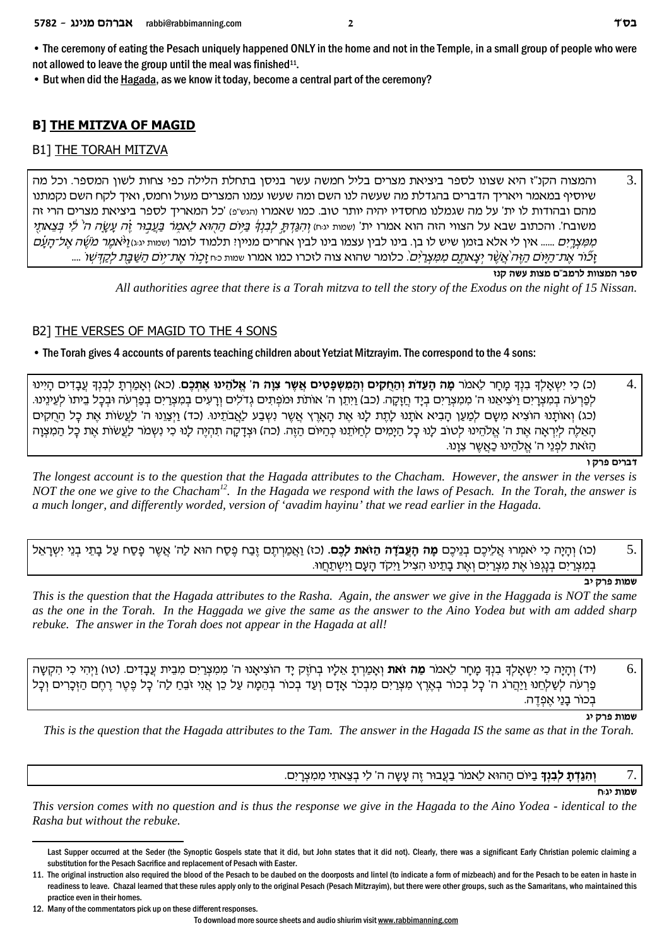• The ceremony of eating the Pesach uniquely happened ONLY in the home and not in the Temple, in a small group of people who were not allowed to leave the group until the meal was finished<sup>11</sup>.

• But when did the Hagada, as we know it today, become a central part of the ceremony?

# **B] THE MITZVA OF MAGID**

# **B1] THE TORAH MITZVA**

3. והמצוה הקנ"ז היא שצונו לספר ביציאת מצרים בליל חמשה עשר בניסן בתחלת הלילה כפי צחות לשון המספר. וכל מה שיוסיף במאמר ויאריד הדברים בהגדלת מה שעשה לנו השם ומה שעשו עמנו המצרים מעול וחמס, ואיד לקח השם נקמתנו מהם ובהודות לו ית' על מה שגמלנו מחסדיו יהיה יותר טוב. כמו שאמרו והגש"פ) 'כל המאריך לספר ביציאת מצרים הרי זה משובח'. והכתוב שבא על הצווי הזה הוא אמרו ית' ושמות יגם) <u>והגדת לבנד ביום ההוא לאמר בעבור זה עשה ה<sup>י</sup> לי בצאתי</u> *ְמְמֵצְרֵיִם ...... אי*ן לי אלא בזמן שיש לו בן. בינו לבין עצמו בינו לבין אחרים מנייןי תלמוד לומר ושמות יגוגו*ן לאמר מֹשֶׁה אֱל־הַעַם* וַצוֹר אֶת־הַיּוֹם הַזֶּה אֲשֶׁר יִצְאתֶם מִמְצְרַיִם. כלומר שהוא צוה לזכרו כמו אמרו שמות כח זְכְוֹר אֶת־יוֹם הַשֶּׁבַּת לִקְדָּשִׁוֹ ....

ספר המצוות לרמב"ם מצות עשה קנז

All authorities agree that there is a Torah mitzva to tell the story of the Exodus on the night of 15 Nissan.

# B2] THE VERSES OF MAGID TO THE 4 SONS

• The Torah gives 4 accounts of parents teaching children about Yetziat Mitzravim. The correspond to the 4 sons:

 $\overline{4}$ (כ) כִי יִשְאֲלַךְ בְוָךְ מַחַר לֵאמֹר **מַה הַעֲדֹת וְהַחֶקִים וְהַמְשִׂפְטִים אֲשֶר צְוָה ה' אֱלֹהֵינוּ אֶתְּכֶם.** (כא) וְאֲמַרְתַ לְבְוָךְ עֲבָדִים הַיִּינוּ לפרעה במצרים ויציאנו ה' ממצרים ביד חזקה. (כב) ויתן ה' אותת ומפתים גדלים ורעים במצרים בפרעה ובכל ביתו לעינינו. (כג) ואותנו הוציא משם למען הביא אתנו לתת לנו את הארץ אשר נשבע לאבתינו. (כד) ויצונו ה' לעשות את כל החקים האלה ליראה את ה' אלהינו לטוב לנו כל הימים לחיתנו כהיום הזה. (כה) וצדקה תהיה לנו כי נשמר לעשות את כל המצוה ּהַזֹאת לִפְנֵי ה' אֱלֹהֶינוּ כַּאֲשֶׁר צְוַנוּ.

דברים פרק ו

The longest account is to the question that the Hagada attributes to the Chacham. However, the answer in the verses is NOT the one we give to the Chacham<sup>12</sup>. In the Hagada we respond with the laws of Pesach. In the Torah, the answer is a much longer, and differently worded, version of 'avadim hayinu' that we read earlier in the Hagada.

 $\overline{5}$ (כו) והיה כי יאמרו אליכם בניכם **מה העבדה הזאת לכם.** (כז) ואמרתם זבח פסח הוא לה' אשר פסח על בתי בני ישראל במצרים בנגפו את מצרים ואת בתינו הציל ויקד העם וישתחוו.

שמות פרק יב

This is the question that the Hagada attributes to the Rasha. Again, the answer we give in the Haggada is NOT the same as the one in the Torah. In the Haggada we give the same as the answer to the Aino Yodea but with am added sharp rebuke. The answer in the Torah does not appear in the Hagada at all!

(יד) וְהָיָה כִי יִשְאָלְךְ בִנְךְ מָחָר לֵאמֹר **מַה זֹאת** וְאָמַרְתָ אֵלָיו בְחֹזֵק יַד הוֹצִיאָנו ה' מִמְצְרַיִם מִבֵית עֲבָדִים. (טו) וַיִּהִי כִי הִקְשָּׁה 6. ְפַרְעֹה לְשָלְחֶנוּ וַיַּהֲרֹג ה' כָּל בְכוֹר בְאֵרֶץ מִצְרָיִם מִבְכֹּר אֲדָם וְעָד בְכוֹר בְהֶמָה עַל כֶן אֲנִי זֹבֶח לָה' כָּל פֶטֶר רֶחֶם הַזָּכְרִים וְכָל בִכוֹר בַנַי אֵפְדֵה.

שמות פרק יג

This is the question that the Hagada attributes to the Tam. The answer in the Hagada IS the same as that in the Torah.

#### ו**הגדת לבנד** ביום ההוא לאמר בעבור זה עשה ה' לי בצאתי ממצרים.

שמות ינוח

7.

This version comes with no question and is thus the response we give in the Hagada to the Aino Yodea - identical to the Rasha but without the rebuke.

Last Supper occurred at the Seder (the Synoptic Gospels state that it did, but John states that it did not). Clearly, there was a significant Early Christian polemic claiming a substitution for the Pesach Sacrifice and replacement of Pesach with Easter.

<sup>11.</sup> The original instruction also required the blood of the Pesach to be daubed on the doorposts and lintel (to indicate a form of mizbeach) and for the Pesach to be eaten in haste in readiness to leave. Chazal learned that these rules apply only to the original Pesach (Pesach Mitzrayim), but there were other groups, such as the Samaritans, who maintained this practice even in their homes.

<sup>12.</sup> Many of the commentators pick up on these different responses.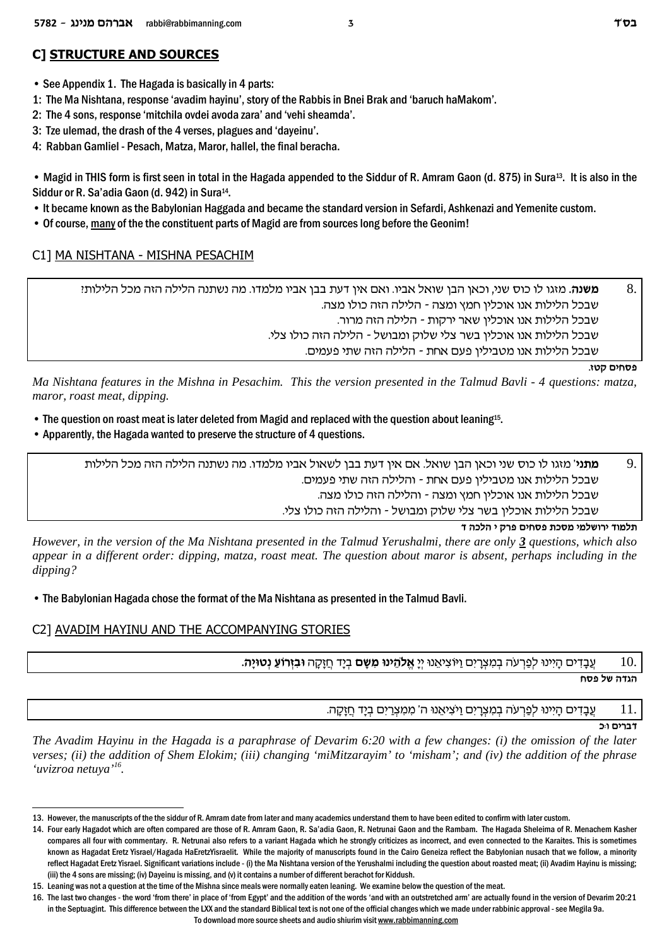# **C] STRUCTURE AND SOURCES**

• See Appendix 1. The Hagada is basically in 4 parts:

1: The Ma Nishtana, response 'avadim hayinu', story of the Rabbis in Bnei Brak and 'baruch haMakom'.

2: The 4 sons, response 'mitchila ovdei avoda zara' and 'vehi sheamda'.

3: Tze ulemad, the drash of the 4 verses, plagues and 'dayeinu'.

4: Rabban Gamliel - Pesach, Matza, Maror, hallel, the final beracha.

• Magid in THIS form is first seen in total in the Hagada appended to the Siddur of R. Amram Gaon (d. 875) in Sura13. It is also in the Siddur or R. Sa'adia Gaon (d. 942) in Sura<sup>14</sup>.

• It became known as the Babylonian Haggada and became the standard version in Sefardi, Ashkenazi and Yemenite custom.

• Of course, many of the the constituent parts of Magid are from sources long before the Geonim!

### C1] MA NISHTANA - MISHNA PESACHIM

8 **משנה.** מזגו לו כוס שני, וכאן הבן שואל אביו. ואם אין דעת בבן אביו מלמדו. מה נשתנה הלילה הזה מכל הלילות! שבכל הלילות אנו אוכליו חמץ ומצה - הלילה הזה כולו מצה. שבכל הלילות אנו אוכלין שאר ירקות - הלילה הזה מרור. . שבכל הלילות אנו אוכלין בשר צלי שלוק ומבושל - הלילה הזה כולו צלי שבכל הלילות אנו מטבילין פעם אחת - הלילה הזה שתי פעמים.

**פסחים קטו.** 

*Ma Nishtana features in the Mishna in Pesachim. This the version presented in the Talmud Bavli - 4 questions: matza, maror, roast meat, dipping.*

- The question on roast meat is later deleted from Magid and replaced with the question about leaning<sup>15</sup>.
- Apparently, the Hagada wanted to preserve the structure of 4 questions.

פוני' מזגו לו כוס שני וכאן הבן שואל. אם אין דעת בבן לשאול אביו מלמדו. מה נשתנה הלילה הזה מכל הלילות <u>P</u>. שבכל הלילות אנו מטבילין פעם אחת - והלילה הזה שתי פעמים. שבכל הלילות אנו אוכלין חמץ ומצה - והלילה הזה כולו מצה. שבכל הלילות אוכלין בשר צלי שלוק ומבושל - והלילה הזה כולו צלי.

**c dkld i wxt migqt zkqn inlyexi cenlz**

*However, in the version of the Ma Nishtana presented in the Talmud Yerushalmi, there are only 3 questions, which also appear in a different order: dipping, matza, roast meat. The question about maror is absent, perhaps including in the dipping?*

• The Babylonian Hagada chose the format of the Ma Nishtana as presented in the Talmud Bavli.

## C2] AVADIM HAYINU AND THE ACCOMPANYING STORIES

**.d¨iEhp§ r©Fxf§a¦ E** dw¨f¨g£ c¨ia§ **my¨ n¦ Epid¥Ÿl`¡** ¨ii§ Ep`¥iv¦ FIe©mi¦x¨v§ n¦ a§ dŸrx§t©l§ Epii¦d¨ mic¦a¨£r 10.

**trt** של פסח

עבדים היינו לפרעה במצרים ויציאנו ה' ממצרים ביד חזקה.  $11\,$ 

**k:e mixac**

*The Avadim Hayinu in the Hagada is a paraphrase of Devarim 6:20 with a few changes: (i) the omission of the later verses; (ii) the addition of Shem Elokim; (iii) changing 'miMitzarayim' to 'misham'; and (iv) the addition of the phrase 'uvizroa netuya'<sup>16</sup> .* 

<sup>13.</sup> However, the manuscripts of the the siddur of R. Amram date from later and many academics understand them to have been edited to confirm with later custom.

<sup>14.</sup> Four early Hagadot which are often compared are those of R. Amram Gaon, R. Sa'adia Gaon, R. Netrunai Gaon and the Rambam. The Hagada Sheleima of R. Menachem Kasher compares all four with commentary. R. Netrunai also refers to a variant Hagada which he strongly criticizes as incorrect, and even connected to the Karaites. This is sometimes known as Hagadat Eretz Yisrael/Hagada HaEretzYisraelit. While the majority of manuscripts found in the Cairo Geneiza reflect the Babylonian nusach that we follow, a minority reflect Hagadat Eretz Yisrael. Significant variations include - (i) the Ma Nishtana version of the Yerushalmi including the question about roasted meat; (ii) Avadim Hayinu is missing; (iii) the 4 sons are missing; (iv) Dayeinu is missing, and (v) it contains a number of different berachot for Kiddush.

<sup>15.</sup> Leaning was not a question at the time of the Mishna since meals were normally eaten leaning. We examine below the question of the meat.

<sup>16.</sup> The last two changes - the word 'from there' in place of 'from Egypt' and the addition of the words 'and with an outstretched arm' are actually found in the version of Devarim 20:21 in the Septuagint. This difference between the LXX and the standard Biblical text is not one of the official changes which we made under rabbinic approval - see Megila 9a.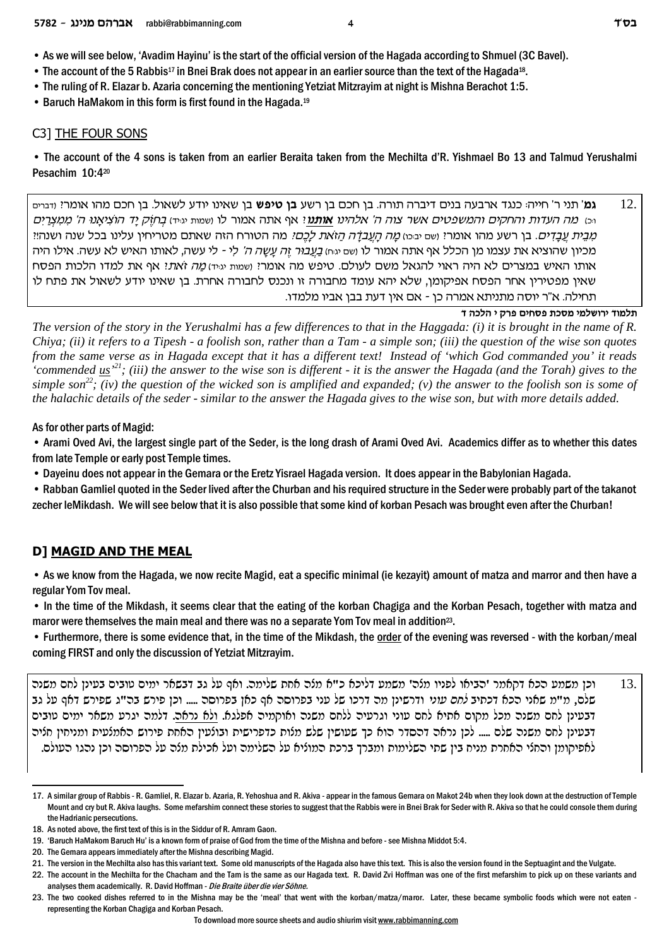- The account of the 5 Rabbis<sup>17</sup> in Bnei Brak does not appear in an earlier source than the text of the Hagada<sup>18</sup>.
- The ruling of R. Elazar b. Azaria concerning the mentioning Yetziat Mitzrayim at night is Mishna Berachot 1:5.
- Baruch HaMakom in this form is first found in the Hagada.<sup>19</sup>

#### C3] THE FOUR SONS

• The account of the 4 sons is taken from an earlier Beraita taken from the Mechilta d'R. Yishmael Bo 13 and Talmud Yerushalmi Pesachim 10:420

 $12.$ גמ' תני ר' חייה: כנגד ארבעה בנים דיברה תורה. בן חכם בן רשע **בן טיפש** בן שאינו יודע לשאול. בן חכם מהו אומרי: <sub>ודברים</sub> <sub>ויט</sub> מה העדות והחקים והמשפטים אשר צוה ה' אלהינו **אותנו** אף אתה אמור לו ושמות יגיה) בחזק יד הוציאנו ה' ממצרים מְבֵית עֲבַדְים. בן רשע מהו אומרי שם יבּכּו) *מַה הַעֲבדַׂה הַזֹאת לַכֵּםי.* מה הטורח הזה שאתם מטריחין עלינו בכל שנה ושנה!י מכיון שהוציא את עצמו מן הכלל אף אתה אמור לו <sub>ושם יגיח) *בעבור זה עשה ה' לי -* לי עשה, לאותו האיש לא עשה. אילו היה</sub> אותו האיש במצרים לא היה ראוי להגאל משם לעולם. טיפש מה אומרי (שמות יגוּיד) *מה ז'את*י. אף את למדו הלכות הפסח שאין מפטירין אחר הפסח אפיקומן, שלא יהא עומד מחבורה זו ונכנס לחבורה אחרת. בן שאינו יודע לשאול את פתח לו תחילה. א"ר יוסה מתניתא אמרה כן - אם אין דעת בבן אביו מלמדו.

תלמוד ירושלמי מסכת פסחים פרק י הלכה ד

The version of the story in the Yerushalmi has a few differences to that in the Haggada: (i) it is brought in the name of  $R$ . Chiya; (ii) it refers to a Tipesh - a foolish son, rather than a Tam - a simple son; (iii) the question of the wise son quotes from the same verse as in Hagada except that it has a different text! Instead of 'which God commanded you' it reads 'commended  $us<sup>21</sup>$ ; (iii) the answer to the wise son is different - it is the answer the Hagada (and the Torah) gives to the</u> simple son<sup>22</sup>; (iv) the question of the wicked son is amplified and expanded; (v) the answer to the foolish son is some of the halachic details of the seder - similar to the answer the Hagada gives to the wise son, but with more details added.

As for other parts of Magid:

• Arami Oved Avi, the largest single part of the Seder, is the long drash of Arami Oved Avi. Academics differ as to whether this dates from late Temple or early post Temple times.

• Dayeinu does not appear in the Gemara or the Eretz Yisrael Hagada version. It does appear in the Babylonian Hagada.

• Rabban Gamliel quoted in the Seder lived after the Churban and his required structure in the Seder were probably part of the takanot zecher leMikdash. We will see below that it is also possible that some kind of korban Pesach was brought even after the Churban!

#### **D] MAGID AND THE MEAL**

• As we know from the Hagada, we now recite Magid, eat a specific minimal (ie kezayit) amount of matza and marror and then have a regular Yom Tov meal.

• In the time of the Mikdash, it seems clear that the eating of the korban Chagiga and the Korban Pesach, together with matza and maror were themselves the main meal and there was no a separate Yom Tov meal in addition<sup>23</sup>.

• Furthermore, there is some evidence that, in the time of the Mikdash, the order of the evening was reversed - with the korban/meal coming FIRST and only the discussion of Yetziat Mitzrayim.

וכן משמע הכא דקאמר 'הביאו לפניו מלה' משמע דליכא כ"א מלה אחת שלימה. ואף על גב דבשאר ימים טובים בעינן לחם משנה 13. שלם, מ"מ שאני הכא דכתיב *לחם עוני* ודרשינן מה דרכו של עני בפרוסה אף כאן בפרוסה ..... וכן פירש בה"ג שפירש דאף על גב דבעינן לחם משנה מכל מקום אתיא לחם עוני וגרעיה ללחם משנה ואוקמיה אפלגא. ולא נראה. דלמה יגרע משאר ימים עובים דבעינן לחם משנה שלם ..... לכן נראה דהסדר הוא כך שעושין שלש מלות כדפרישית ובולעין האחת פירוש האמלעית ומניחין חליה לאפיקומן והחלי האחרת מניח בין שתי השלימות ומברך ברכת המוליא על השלימה ועל אכילת מלה על הפרוסה וכן נהגו העולם.

<sup>17.</sup> A similar group of Rabbis - R. Gamliel, R. Elazar b. Azaria, R. Yehoshua and R. Akiya - appear in the famous Gemara on Makot 24b when they look down at the destruction of Temple Mount and cry but R. Akiva laughs. Some mefarshim connect these stories to suggest that the Rabbis were in Bnei Brak for Seder with R. Akiva so that he could console them during the Hadrianic persecutions.

<sup>18.</sup> As noted above, the first text of this is in the Siddur of R. Amram Gaon.

<sup>19. &#</sup>x27;Baruch HaMakom Baruch Hu' is a known form of praise of God from the time of the Mishna and before - see Mishna Middot 5:4.

<sup>20.</sup> The Gemara appears immediately after the Mishna describing Magid.

<sup>21.</sup> The version in the Mechilta also has this variant text. Some old manuscripts of the Hagada also have this text. This is also the version found in the Septuagint and the Vulgate.

<sup>22.</sup> The account in the Mechilta for the Chacham and the Tam is the same as our Hagada text. R. David Zvi Hoffman was one of the first mefarshim to pick up on these variants and analyses them academically. R. David Hoffman - Die Braite über die vier Söhne.

<sup>23.</sup> The two cooked dishes referred to in the Mishna may be the 'meal' that went with the korban/matza/maror. Later, these became symbolic foods which were not eaten representing the Korban Chagiga and Korban Pesach.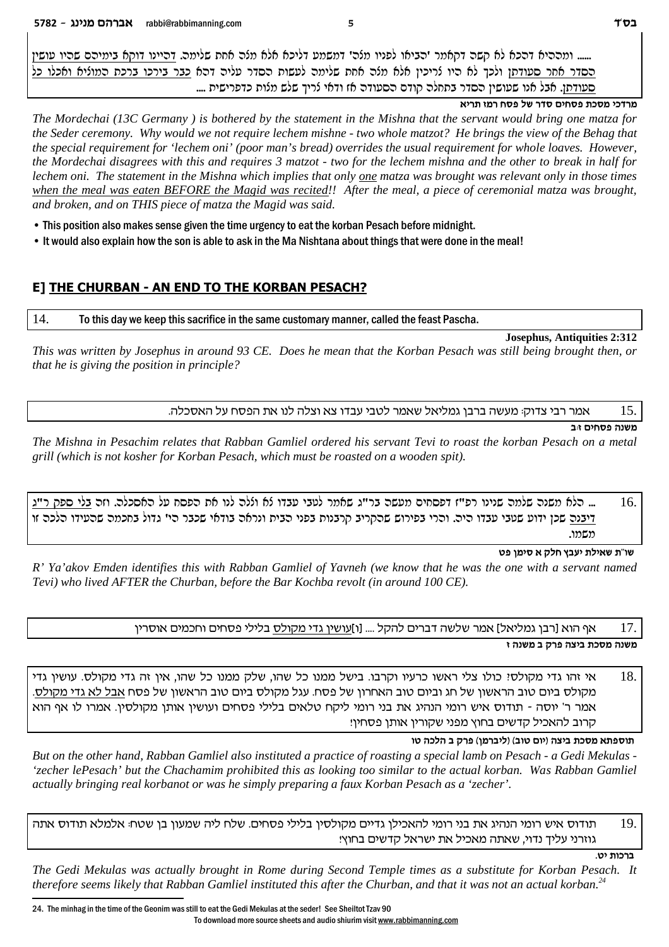...... ומרריא דרכא לא קשר דקאמר 'רביאו לפניו מלר' דמשמע דליכא אלא מלר אחת שלימר. דריינו דוקא בימירם שריו עושין הסדר אחר סעודתו ולכך לא היו נריכין אלא מנה אחת שלימה לעשות הסדר עליה דהא כבר בירכו ברכת המוניא ואכלו כל .... סעודתן. אבל אנו שעושין הסדר בתחלה קודם הסעודה אז ודאי לריך שלש מלות כדפרישית ....

#### **anz** מרדכי מסכת פסחים סדר של פסח רמז תריא

*The Mordechai (13C Germany ) is bothered by the statement in the Mishna that the servant would bring one matza for the Seder ceremony. Why would we not require lechem mishne - two whole matzot? He brings the view of the Behag that the special requirement for 'lechem oni' (poor man's bread) overrides the usual requirement for whole loaves. However, the Mordechai disagrees with this and requires 3 matzot - two for the lechem mishna and the other to break in half for lechem oni. The statement in the Mishna which implies that only one matza was brought was relevant only in those times when the meal was eaten BEFORE the Magid was recited!! After the meal, a piece of ceremonial matza was brought, and broken, and on THIS piece of matza the Magid was said.* 

• This position also makes sense given the time urgency to eat the korban Pesach before midnight.

• It would also explain how the son is able to ask in the Ma Nishtana about things that were done in the meal!

# **E] THE CHURBAN - AN END TO THE KORBAN PESACH?**

14. To this day we keep this sacrifice in the same customary manner, called the feast Pascha.

#### **Josephus, Antiquities 2:312**

*This was written by Josephus in around 93 CE. Does he mean that the Korban Pesach was still being brought then, or that he is giving the position in principle?* 

.<sup>15</sup> אמר רבי צדוק: מעשה ברבן גמליאל שאמר לטבי עבדו צא וצלה לנו את הפסח על האסכלה.

**a:f migqt dpyn**

*The Mishna in Pesachim relates that Rabban Gamliel ordered his servant Tevi to roast the korban Pesach on a metal grill (which is not kosher for Korban Pesach, which must be roasted on a wooden spit).*

בלח משנה שלווה שנינו רפ"ז דפסחים וועשה בר"ג שאוור לטבי עבדו לא וללה לנו את הפסח על האסכלה. וזה בלי ספק ר"ג ... דיבנה שכן ידוע שעבי עבדו היה. והרי בפירוש שהקריב קרבנות בפני הבית ונראה בודאי שכבר הי' גדול בחכמה שהעידו הלכה זו .enyn

#### **ht oniq ` wlg uari zli`y z"ey**

*R' Ya'akov Emden identifies this with Rabban Gamliel of Yavneh (we know that he was the one with a servant named Tevi) who lived AFTER the Churban, before the Bar Kochba revolt (in around 100 CE).*

> 17. אף הוא [רבן גמליאל] אמר שלשה דברים להקל .... [ו]<u>עושין גדי מקולס</u> בלילי פסחים וחכמים אוסרין **f dpyn a wxt dvia zkqn dpyn**

אי זהו גדי מקולסי כולו צלי ראשו כרעיו וקרבו. בישל ממנו כל שהו, שלק ממנו כל שהו, אין זה גדי מקולס. עושין גדי  $18.$ מקולס ביום טוב הראשון של חג וביום טוב האחרון של פסח. עגל מקולס ביום טוב הראשון של פסח אבל לא גדי מקולס. אמר ר' יוסה - תודוס איש רומי הנהיג את בני רומי ליקח טלאים בלילי פסחים ועושין אותן מקולסין. אמרו לו אף הוא קרוב להאכיל קדשים בחוץ מפני שקורין אותן פסחין!

#### **eh dkld a wxt (onxail) (aeh mei) dvia zkqn `ztqez**

*But on the other hand, Rabban Gamliel also instituted a practice of roasting a special lamb on Pesach - a Gedi Mekulas - 'zecher lePesach' but the Chachamim prohibited this as looking too similar to the actual korban. Was Rabban Gamliel actually bringing real korbanot or was he simply preparing a faux Korban Pesach as a 'zecher'.*

תודוס איש רומי הנהיג את בני רומי להאכילן גדיים מקולסין בלילי פסחים. שלח ליה שמעון בן שטח: אלמלא תודוס אתה  $19.$ גוזרני עליך נדוי, שאתה מאכיל את ישראל קדשים בחוץ!

**ברכות יט.** 

*The Gedi Mekulas was actually brought in Rome during Second Temple times as a substitute for Korban Pesach. It therefore seems likely that Rabban Gamliel instituted this after the Churban, and that it was not an actual korban.<sup>24</sup>*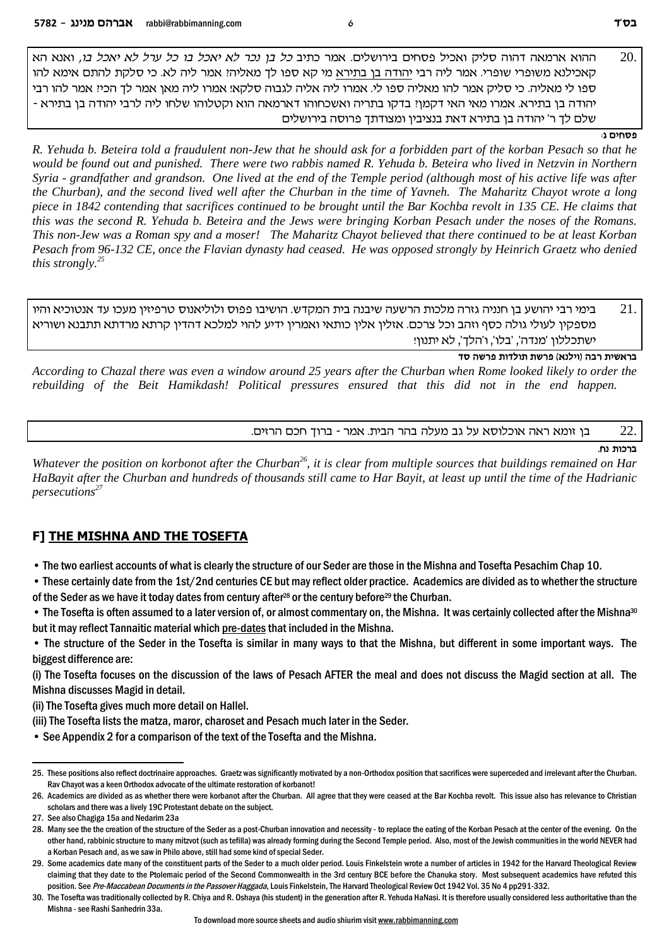`d `p`e *,ea lk`i `l lxr lk ea lk`i `l xkp oa lk* aizk xn` .milyexia migqt lik`e wilq dedc d`nx` `edd 20. קאכילנא משופרי שופרי. אמר ליה רבי יהודה בן בתירא מי קא ספו לך מאליהי אמר ליה לא. כי סלקת להתם אימא להו ספו לי מאליה. כי סליק אמר להו מאליה ספו לי. אמרו ליה אליה לגבוה סלקא! אמרו ליה מאן אמר לך הכי! אמר להו רבי - יהודה בן בתירא. אמרו מאי האי דקמןי! בדקו בתריה ואשכחוהו דארמאה הוא וקטלוהו שלחו ליה לרבי יהודה בן בתירא שלם לך ר' יהודה בן בתירא דאת בנציבין ומצודתך פרוסה בירושלים

#### **פסחים** ג

*R. Yehuda b. Beteira told a fraudulent non-Jew that he should ask for a forbidden part of the korban Pesach so that he would be found out and punished. There were two rabbis named R. Yehuda b. Beteira who lived in Netzvin in Northern Syria - grandfather and grandson. One lived at the end of the Temple period (although most of his active life was after the Churban), and the second lived well after the Churban in the time of Yavneh. The Maharitz Chayot wrote a long piece in 1842 contending that sacrifices continued to be brought until the Bar Kochba revolt in 135 CE. He claims that this was the second R. Yehuda b. Beteira and the Jews were bringing Korban Pesach under the noses of the Romans. This non-Jew was a Roman spy and a moser! The Maharitz Chayot believed that there continued to be at least Korban Pesach from 96-132 CE, once the Flavian dynasty had ceased. He was opposed strongly by Heinrich Graetz who denied this strongly.<sup>25</sup>*

בימי רבי יהושע בן חנניה גזרה מלכות הרשעה שיבנה בית המקדש. הושיבו פפוס ולוליאנוס טרפיזין מעכו עד אנטוכיא והיו  $21.$ מספקין לעולי גולה כסף וזהב וכל צרכם. אזלין אלין כותאי ואמרין ידיע להוי למלכא דהדין קרתא מרדתא תתבנא ושוריא ישתכללוו 'מנדה', 'בלו', ו'הלד', לא יתנוו!

**cq dyxt zeclez zyxt (`plie) dax ziy`xa**

*According to Chazal there was even a window around 25 years after the Churban when Rome looked likely to order the rebuilding of the Beit Hamikdash! Political pressures ensured that this did not in the end happen.* 

בן זומא ראה אוכלוסא על גב מעלה בהר הבית. אמר - ברוך חכם הרזים.  $22.$ 

**ברכות נח**.

*Whatever the position on korbonot after the Churban<sup>26</sup>, it is clear from multiple sources that buildings remained on Har HaBayit after the Churban and hundreds of thousands still came to Har Bayit, at least up until the time of the Hadrianic persecutions<sup>27</sup>*

#### **F] THE MISHNA AND THE TOSEFTA**

• The two earliest accounts of what is clearly the structure of our Seder are those in the Mishna and Tosefta Pesachim Chap 10.

• These certainly date from the 1st/2nd centuries CE but may reflect older practice. Academics are divided as to whether the structure of the Seder as we have it today dates from century after<sup>28</sup> or the century before<sup>29</sup> the Churban.

• The Tosefta is often assumed to a later version of, or almost commentary on, the Mishna. It was certainly collected after the Mishna30 but it may reflect Tannaitic material which pre-dates that included in the Mishna.

• The structure of the Seder in the Tosefta is similar in many ways to that the Mishna, but different in some important ways. The biggest difference are:

(i) The Tosefta focuses on the discussion of the laws of Pesach AFTER the meal and does not discuss the Magid section at all. The Mishna discusses Magid in detail.

(ii) The Tosefta gives much more detail on Hallel.

(iii) The Tosefta lists the matza, maror, charoset and Pesach much later in the Seder.

• See Appendix 2 for a comparison of the text of the Tosefta and the Mishna.

<sup>25.</sup> These positions also reflect doctrinaire approaches. Graetz was significantly motivated by a non-Orthodox position that sacrifices were superceded and irrelevant after the Churban. Rav Chayot was a keen Orthodox advocate of the ultimate restoration of korbanot!

<sup>26.</sup> Academics are divided as as whether there were korbanot after the Churban. All agree that they were ceased at the Bar Kochba revolt. This issue also has relevance to Christian scholars and there was a lively 19C Protestant debate on the subject.

<sup>27.</sup> See also Chagiga 15a and Nedarim 23a

<sup>28.</sup> Many see the the creation of the structure of the Seder as a post-Churban innovation and necessity - to replace the eating of the Korban Pesach at the center of the evening. On the other hand, rabbinic structure to many mitzvot (such as tefilla) was already forming during the Second Temple period. Also, most of the Jewish communities in the world NEVER had a Korban Pesach and, as we saw in Philo above, still had some kind of special Seder.

<sup>29.</sup> Some academics date many of the constituent parts of the Seder to a much older period. Louis Finkelstein wrote a number of articles in 1942 for the Harvard Theological Review claiming that they date to the Ptolemaic period of the Second Commonwealth in the 3rd century BCE before the Chanuka story. Most subsequent academics have refuted this position. See *Pre-Maccabean Documents in the Passover Haggada*, Louis Finkelstein, The Harvard Theological Review Oct 1942 Vol. 35 No 4 pp291-332.

<sup>30.</sup> The Tosefta was traditionally collected by R. Chiya and R. Oshaya (his student) in the generation after R. Yehuda HaNasi. It is therefore usually considered less authoritative than the Mishna - see Rashi Sanhedrin 33a.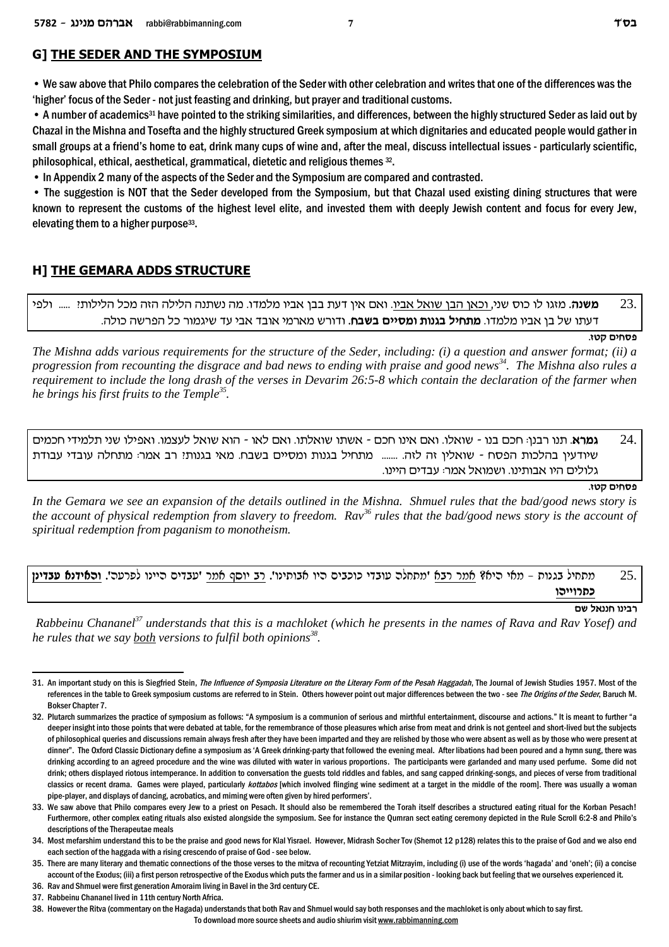# **G] THE SEDER AND THE SYMPOSIUM**

• We saw above that Philo compares the celebration of the Seder with other celebration and writes that one of the differences was the 'higher' focus of the Seder - not just feasting and drinking, but prayer and traditional customs.

• A number of academics<sup>31</sup> have pointed to the striking similarities, and differences, between the highly structured Seder as laid out by Chazal in the Mishna and Tosefta and the highly structured Greek symposium at which dignitaries and educated people would gather in small groups at a friend's home to eat, drink many cups of wine and, after the meal, discuss intellectual issues - particularly scientific, philosophical, ethical, aesthetical, grammatical, dietetic and religious themes 32.

• In Appendix 2 many of the aspects of the Seder and the Symposium are compared and contrasted.

• The suggestion is NOT that the Seder developed from the Symposium, but that Chazal used existing dining structures that were known to represent the customs of the highest level elite, and invested them with deeply Jewish content and focus for every Jew, elevating them to a higher purpose<sup>33</sup>.

# **H] THE GEMARA ADDS STRUCTURE**

.23 **משנה.** מזגו לו כוס שני, וכאן הבן שואל אביו. ואם אין דעת בבן אביו מלמדו. מה נשתנה הלילה הזה מכל הלילותי ...... ולפי דעתו של בן אביו מלמדו. **מתחיל בגנות ומסיים בשבח.** ודורש מארמי אובד אבי עד שיגמור כל הפרשה כולה.

#### **פסחים קטו.**

*The Mishna adds various requirements for the structure of the Seder, including: (i) a question and answer format; (ii) a progression from recounting the disgrace and bad news to ending with praise and good news<sup>34</sup>. The Mishna also rules a requirement to include the long drash of the verses in Devarim 26:5-8 which contain the declaration of the farmer when he brings his first fruits to the Temple<sup>35</sup> .* 

גמרא. תנו רבנן: חכם בנו - שואלו. ואם אינו חכם - אשתו שואלתו. ואם לאו - הוא שואל לעצמו. ואפילו שני תלמידי חכמים . שיודעין בהלכות הפסח - שואלין זה לזה. ....... מתחיל בגנות ומסיים בשבח. מאי בגנותי רב אמר: מתחלה עובדי עבודת .גלולים היו אבותינו. ושמואל אמר: עבדים היינו

**פסחים קטו.** 

*In the Gemara we see an expansion of the details outlined in the Mishna. Shmuel rules that the bad/good news story is the account of physical redemption from slavery to freedom. Rav<sup>36</sup> rules that the bad/good news story is the account of spiritual redemption from paganism to monotheism.* 

# .25 מתחיל בגנות – מאי היא? אמר רבא 'מתחלה עובדי כוכבים היו אבותינו'. ר<u>ב יוסף אמר</u> 'עבדים היינו לפרעה'. <u>ו**האידנא עבדינן** </u> כתר**ויי**הו

**my l`ppg epiax**

 *Rabbeinu Chananel<sup>37</sup> understands that this is a machloket (which he presents in the names of Rava and Rav Yosef) and he rules that we say both versions to fulfil both opinions<sup>38</sup> .* 

<sup>31.</sup> An important study on this is Siegfried Stein, *The Influence of Symposia Literature on the Literary Form of the Pesah Haggadah*, The Journal of Jewish Studies 1957. Most of the references in the table to Greek symposium customs are referred to in Stein. Others however point out major differences between the two - see *The Origins of the Seder*, Baruch M. Bokser Chapter 7.

<sup>32.</sup> Plutarch summarizes the practice of symposium as follows: "A symposium is a communion of serious and mirthful entertainment, discourse and actions." It is meant to further "a deeper insight into those points that were debated at table, for the remembrance of those pleasures which arise from meat and drink is not genteel and short-lived but the subjects of philosophical queries and discussions remain always fresh after they have been imparted and they are relished by those who were absent as well as by those who were present at dinner". The Oxford Classic Dictionary define a symposium as 'A Greek drinking-party that followed the evening meal. After libations had been poured and a hymn sung, there was drinking according to an agreed procedure and the wine was diluted with water in various proportions. The participants were garlanded and many used perfume. Some did not drink; others displayed riotous intemperance. In addition to conversation the guests told riddles and fables, and sang capped drinking-songs, and pieces of verse from traditional classics or recent drama. Games were played, particularly *kottabos* [which involved flinging wine sediment at a target in the middle of the room]. There was usually a woman pipe-player, and displays of dancing, acrobatics, and miming were often given by hired performers'.

<sup>33.</sup> We saw above that Philo compares every Jew to a priest on Pesach. It should also be remembered the Torah itself describes a structured eating ritual for the Korban Pesach! Furthermore, other complex eating rituals also existed alongside the symposium. See for instance the Qumran sect eating ceremony depicted in the Rule Scroll 6:2-8 and Philo's descriptions of the Therapeutae meals

<sup>34.</sup> Most mefarshim understand this to be the praise and good news for Klal Yisrael. However, Midrash Socher Tov (Shemot 12 p128) relates this to the praise of God and we also end each section of the haggada with a rising crescendo of praise of God - see below.

<sup>35.</sup> There are many literary and thematic connections of the those verses to the mitzva of recounting Yetziat Mitzrayim, including (i) use of the words 'hagada' and 'oneh'; (ii) a concise account of the Exodus; (iii) a first person retrospective of the Exodus which puts the farmer and us in a similar position - looking back but feeling that we ourselves experienced it.

<sup>36.</sup> Rav and Shmuel were first generation Amoraim living in Bavel in the 3rd century CE.

<sup>37.</sup> Rabbeinu Chananel lived in 11th century North Africa.

<sup>38.</sup> However the Ritva (commentary on the Hagada) understands that both Rav and Shmuel would say both responses and the machloket is only about which to say first.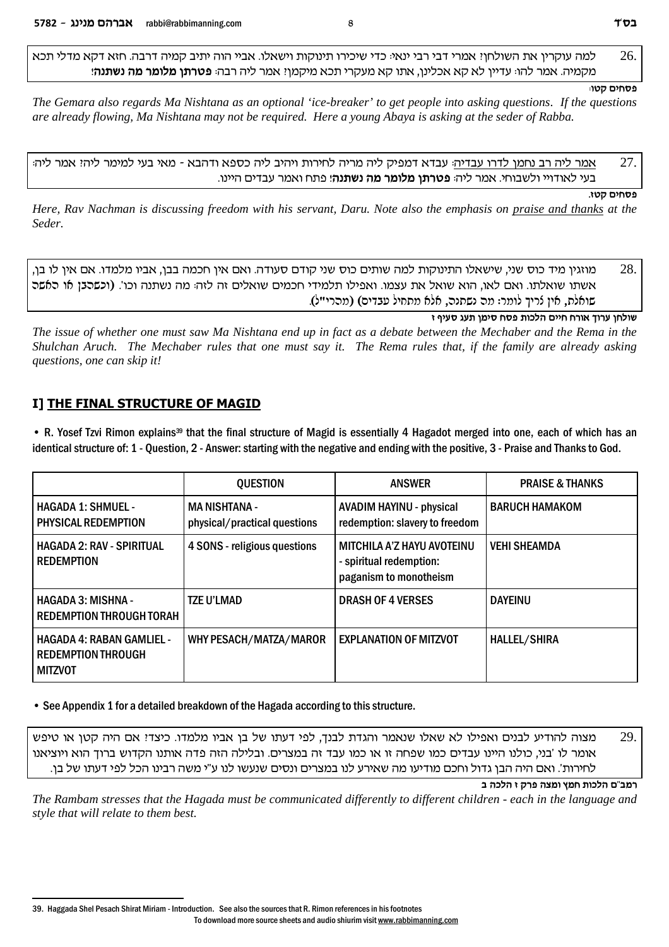למה עוקרין את השולחן? אמרי דבי רבי ינאי: כדי שיכירו תינוקות וישאלו. אביי הוה יתיב קמיה דרבה. חזא דקא מדלי תכא  $26.$ **מקמיה. אמר להו: עדיין לא קא אכלינן, אתו קא מעקרי תכא מיקמןי: אמר ליה רבה: <b>פטרתן מלומר מה נשתנה**!

#### **פסחים קטו**:

*The Gemara also regards Ma Nishtana as an optional 'ice-breaker' to get people into asking questions. If the questions are already flowing, Ma Nishtana may not be required. Here a young Abaya is asking at the seder of Rabba.* 

ממר ליה רב נחמן לדרו עבדיה: עבדא דמפיק ליה מריה לחירות ויהיב ליה כספא ודהבא - מאי בעי למימר ליה: אמר ליה  $27. \,$ בעי לאודויי ולשבוחי. אמר ליה: **פטרתן מלומר מה נשתנה**! פתח ואמר עבדים היינו.

**פסחים קטו.** 

*Here, Rav Nachman is discussing freedom with his servant, Daru. Note also the emphasis on praise and thanks at the Seder.*

,סמוזגין מיד כוס שני, שישאלו התינוקות למה שותים כוס שני קודם סעודה. ואם אין חכמה בבן, אביו מלמדו. אם אין לו בן  $28.$ אשתו שואלתו. ואם לאו, הוא שואל את עצמו. ואפילו תלמידי חכמים שואלים זה לזה: מה נשתנה וכו'. (וכשהבן או האשה שואלת, אין נֿריך לומר: מה נשתנה, אלא מתחיל עבדים) (מהרי"ל).

**f sirq brz oniq gqt zekld miig gxe` jexr ogley**

*The issue of whether one must saw Ma Nishtana end up in fact as a debate between the Mechaber and the Rema in the Shulchan Aruch. The Mechaber rules that one must say it. The Rema rules that, if the family are already asking questions, one can skip it!*

# **I] THE FINAL STRUCTURE OF MAGID**

• R. Yosef Tzvi Rimon explains<sup>39</sup> that the final structure of Magid is essentially 4 Hagadot merged into one, each of which has an identical structure of: 1 - Question, 2 - Answer: starting with the negative and ending with the positive, 3 - Praise and Thanks to God.

|                                                                                 | <b>OUESTION</b>                                      | <b>ANSWER</b>                                                                   | <b>PRAISE &amp; THANKS</b> |
|---------------------------------------------------------------------------------|------------------------------------------------------|---------------------------------------------------------------------------------|----------------------------|
| <b>HAGADA 1: SHMUEL -</b><br>PHYSICAL REDEMPTION                                | <b>MA NISHTANA -</b><br>physical/practical questions | <b>AVADIM HAYINU - physical</b><br>redemption: slavery to freedom               | <b>BARUCH HAMAKOM</b>      |
| <b>HAGADA 2: RAV - SPIRITUAL</b><br><b>REDEMPTION</b>                           | 4 SONS - religious questions                         | MITCHILA A'Z HAYU AVOTEINU<br>- spiritual redemption:<br>paganism to monotheism | <b>VEHI SHEAMDA</b>        |
| <b>HAGADA 3: MISHNA -</b><br>REDEMPTION THROUGH TORAH                           | <b>TZE U'LMAD</b>                                    | <b>DRASH OF 4 VERSES</b>                                                        | <b>DAYEINU</b>             |
| <b>HAGADA 4: RABAN GAMLIEL -</b><br><b>REDEMPTION THROUGH</b><br><b>MITZVOT</b> | WHY PESACH/MATZA/MAROR                               | <b>EXPLANATION OF MITZVOT</b>                                                   | <b>HALLEL/SHIRA</b>        |

• See Appendix 1 for a detailed breakdown of the Hagada according to this structure.

מצוה להודיע לבנים ואפילו לא שאלו שנאמר והגדת לבנך, לפי דעתו של בן אביו מלמדו. כיצדי אם היה קטן או טיפש  $29.$ אומר לו 'בני, כולנו היינו עבדים כמו שפחה זו או כמו עבד זה במצרים. ובלילה הזה פדה אותנו הקדוש ברוך הוא ויוציאנו לחירות'. ואם היה הבן גדול וחכם מודיעו מה שאירע לנו במצרים ונסים שנעשו לנו ע"י משה רבינו הכל לפי דעתו של בן.

**a dkld f wxt dvne ung zekld m"anx**

*The Rambam stresses that the Hagada must be communicated differently to different children - each in the language and style that will relate to them best.*

<sup>39.</sup> Haggada Shel Pesach Shirat Miriam - Introduction. See also the sources that R. Rimon references in his footnotes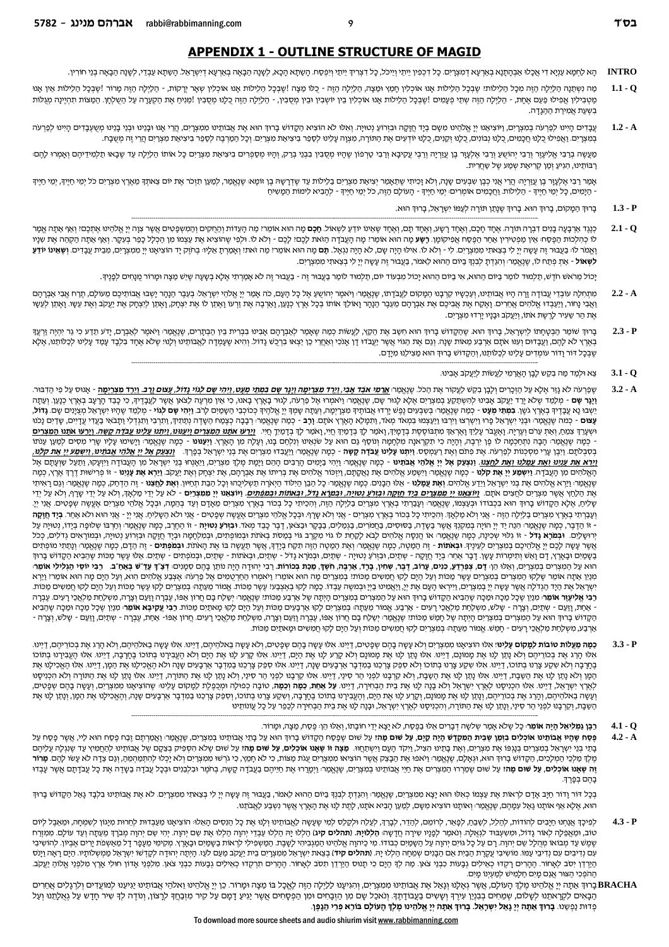## **APPENDIX 1 - OUTLINE STRUCTURE OF MAGID**

הָא לַחְמָא עַנְא דִי אֲכָלוּ אֲבָהְתַנָא בְאַרְעָא דְמִעְרָיִם. כָל דְכְפִין יֵתְיו וְיֵיכֹל, כָל דִצְרִיךְ יֵיתֵי וְיִפְסָח. הָשֶׁתָא הָכָא, לְשָׁנָה הַבָּאָה בְּאֵרְעָא דְיִשְׁרָאֵל הַמִּעֲרִים. כָל דִכְפִין יֵיתֵי וְיֵ **INTRO** 

q

- מה ושתנה הלילה הזה מכל הלילותי שבכל הלילות אנו אוכליו חמו וטעה, הלילה הזה כלו מצה הלילה של הלילה לאחר הלילה היה מרור !שבכל הלילות אין אנו  $1.1 - Q$ מַטְבִילִין אֲפִילוּ פַּעַם אֶחָת, - הַלַיְלָה הַזֶּה שְׁתֵי פְעָמִים !שֶׁבְבָל הַלִילוֹת אָנו אוֹכְלִין בֵין יוֹשְבִין וּבֵין מְסֻבִין, - הַלֵילְה הַזֶה יִהַל הַזֶּה מַגְלוֹת אוֹכְלִין בֵין יוֹשְבִין וּבֵין מְסֻבִין, - הַ בשעת אמירת ההגדה.
- $1.2 A$ עֲבָדִים הָיִינוּ לְכַּרְעֹה בְמִצְרָיִם, וַיוּצִיאַנוּ יְיָ אֱלֹהֵינוּ מִעֶם בְיָד חֲזֶה וּבוְרוֹעַ נְטוּיָה. וְאִלוּ לֹא הוֹצִיא הַקָדוֹע הוא אֶת אֲבוֹתִינו מִמִצְרָים, הַרִי הַעֲקָה וּבְזְרוֹעַ נְטוּיָה. וְאִלוּ לֹא הוֹ בְמִצְרָיִם. וַאֲפִילוּ כֵלָנוּ חֲכָמִים, כָלָנוּ וְבוֹנִים, כָלָנוּ וְקַנִים, כַלָנוּ יִדְעִים אֶת הַתּוֹרָה, מִצְוָה עָלִינוּ לְסָפֵר בִיצִיאַת מִצְרָיִם. וְכָל הַמַרְבָה לְסַפֵר בִיצִיאַת מִצְרַים. הַעֲרָה, הַשֻׁבָּח.

מַעֲשֶה בְרַבִי אֱלִיעֶרָ וְרַבִי יְהוֹשֵעַ וְרַבִי אֶלְעָזָר בֶן עֲזִרָה וְרַבִי עֲקִיכָא וְרַבִי טַרְפוֹן שֶהָיו מְסֻבִין בִבְנֵי בְרַמ הַקוֹם הַמַּח בִּח מִקְהַ הַתְה לַהֲם הַמִּח לִמְה הַמַלֹּה בִּח מִקְה מִקְה הַמ רֲבוֹתֵינוּ, הְגִיעַ זְמַן קְרִיאֲת שְמַע שֶל שָׁחֲרִית.

אָמַר רַבִי אֶלְעָוֶר בֶן עֲוֹיָה הֲרִי אֲנִי כְבָן שבְעִים שָנָה, וְלֹא זָכִיתִי שֶׁתַאָמֵר יְצִיאַת מִצְרַים בַלֵילות עַד שֶדְרָשָה בֶן זוֹמָא: שֶגְאֱמֵר, לְמַע הַע קוֹמַד בָּל הַעֲדָ - הַיָּמִים, כָל יְמֵי חַיֶּיךָ - הַלֵילוֹת. וַחֲכָמִים אוֹמְרִים: יְמֵי חַיֶּיךָ - הָעוֹלָם הַזֶּה, כֹל יְמֵי חַיֶּיךָ - לְהָבִיא לִימוֹת הַמָּשִׁיחַ

- $1.3 P$ בָרוּךְ הַמָקוֹם, בָרוּךְ הוּא. בָרוּךְ שֶנָתַן תּוֹרָה לְעַמּוֹ יִשְרָאֵל, בָרוּךְ הוּא.
- $2.1 Q$ כְנַגְד אַרְבָעָה בָנִים דִבְרָה תּוֹרָה. אַחָד חָכָם, וְאֵחָד נָשָע, וְאֶחָד תָם, וְאַחָד שָאֵינו יוֹדַעַ לְשִאוֹל. **חָכָם** מָה הוּא אוֹמֵר: מַה הָעֲדות הַחַקִים וְהַמְשָׁכָּטִים אֲאֶל הַבָּם מִנְה אֲמָר לו כְהלכות הַפֶּסַח: אֵין מַפְטִירין אַחַר הַפֶּסַח אֲפִיקוֹמָן. **רָשָע** מָה הוּא אוֹמֵר: מָה הָעֲבֹדָה הַאת לכֶם: לָכֶם - וְלֹא לו. וּלְפִי שֶׁחוֹצְיא אֶת בִּיעֲל לְבַב בְּעִקָר. וְאַף אַתָה הַקָּחָה אֶת שִנָּי וְאֱמֹר לוּ בַעֲבוּר זֶה עָשָה יְיָ לִי בְצַאתִי מִמִצְרָיִם. לי - וְלֹא לוֹ אִילוּ הָיָה שָׁם, לֹא הָיָה וַגְאָל. **הָם** מָה הוא אוֹמֵר؛ מַה אוֹמֵר הַה אוֹמַר הַה אֲלֹא הָיָה וֹגְאָל. הָם מַה הוּא אוֹמֵר؛ מַה וֹאָמוֹ וְדָ לְשְאוֹל - אַתְ פְתַח לוֹ, שֶנֶאֱמַר: וְהִנֵדְתָ לְבִנְךְ בַיוֹם הַהוּא לֵאמֹר, בַעֲבוּר זֶה עָשֶה יְיָ לִי בְצֵאתִי מִמְצְרָיִם.

יָכוֹל מֵרֹאשׁ חֹדֶשׁ, תַלְמוּד לוֹמַר בַיוֹם הַהוּא, אִי בִיוֹם הַהוּא יָכוֹל מִבְעוֹד יוֹם, תַלְמוּד לוֹמַר בַעֲבוּר זֶה - בַעֲבוּר זֶה לֹא אָמַרְתִי אֶלָא בְשָעָה שָיֵשׁ מַצָּה וּמָרוֹר מֻנְחִים לְכָנֶיךָ.

- מתחלה עובדי עבודה זרה היו אבותינו, ועכשיו קרבנו המקום לעבדתו, שנאמר יהושע אל כל העם, כה אמר יי אלהי ישראל. בעבר הנהר ישבו אבותיכם מעולם, תרח אבי אברהם  $2.2 - A$ וַאֲבִי נָחוֹר, וַיַעֲבְדוּ אֱלֹהִים אֲמוֹאָה אֲבִיכֶם אֶת אַבְרָהָם מֵעֵבֶר הַנָהְר וָאוֹלֵךְ אוֹתוֹ בְּכָל אֶרֶץ כְּנָע, וְאֶרֹךָ הוֹת הַלֹּה אֲבִיכֶם מֵעֲבֶר הַנָהְר וָאוֹלֵךְ אוֹתוֹ בְּכָל אֶרֶץ כְּנָע, וְאֶרֹךְ הַנְהָ אֶת הַר שֶעִיר לַרֵשֶת אֹתוֹ, וְיַעֲקֹב וּבָנַיו יַרְדוּ מִצְרַיִם.
- בָרוּךְ שׁוֹמֵר הַבְטָחָתוֹ לְיִשְרָאֵל, בָרוּךְ הוּא. שֶהַקָדוֹשׁ בָרוּךְ הוּא חִשַב אֶת הַקֵץ, לַעֲשׂוֹת כְמַה שֶאָמַר לְאַבְרָהֶם אָבניו בְּבְרִית בֵין הַבְּרָנוּ הוּא הַשָּב אֶת הַקֵץ, לַעֲשׂוֹת כְמַה שֶאָמַר לְאַבְרָה  $2.3 - P$ בְאֶרֶץ לֹא לָהֶם, וַעֲבָדוּם וְעִנּוּ אֹתָם אַרְבַע מֵאוֹת שָנָה. וְגֵם אֶת הַגּוֹי אֲשֶר יַעֲבֹדוּ דָן אָנֹכִי וְאַחֲר כֵן יַצְאוּ בְרָכָש הַבְרָה הַנֹּא אֲשֶר יַעֲבֹדוּ דָן אָנֹכִי וְאַחֲר כֵן יַצְאוּ בְרָכָש גָרוֹל. וְ שֶבְכָל דוֹר וַדוֹר עוֹמְדִים עַלֵינוּ לִכְלוֹתֵנוּ, וְהַקֲדוֹשׁ בָרוּדְ הוּא מַצִילֶנוּ מְיַדַם.
	- $3.1 Q$ צֵא וּלְמַד מַה בִקֵשׁ לָבָן הָאֲרַמִי לַעֲשׂוֹת לְיַעֲקֹב אָבִינוּ.
- שְפַרְעֹה לא גֶזֶר אֶלָא עַל הַזְכָרִים וְלָבָן בְקֵשׁ לַעֲקוֹר אֶת הכל. שְ<u>נַאַמָה **אֲדֹד אַבְי, וַיַרד מִצְיִטַ***ה וַיָּר שָׁם בְּמִתי מִעַט, וַיָּהל ש***ַם בְּמִת מִל שִׁנַאַמ אַבְ***ד אַבְּי, וַיַרד מִצְרְיַמָּה וַיַּךְ מַ</u>*  $3.2 - A$ וַיָנֶר שָם - מְלַמֵד שֶלֹא יָרַד יַעֲקֹב אָבִינוּ לְהִשְתַקַע בְמִצְרִים אֶלָא לָגוּר שָם, שָנָאֲמו וַאמְרוּ אֶל פַרְעֹה, לְגוּר בָאֶרֶץ בְוֹא מִינוּ שִׁמְעֹם הַלֹּמַר הַעֲלֹא הַעֲלֹא הַעֲלֹא הַבְּאֵת הַלֹּמַד שִׁמְעֹם הַ יַשְבוּ נָא עֲבָדֶיךָ גְשֶׁן. **בְמְתִימְעָט -** כְמַה שֶנְאֱמַר בְּשִׁבְעִים נֶפָּשׁ יֶרְדוּ אֲבוֹתַיִּךְ מִצְרָימָה, וְעַתָה שָמְדָייָ אֲבוֹתֶה מִצְרָימָה, הַעֲבְרָה מִצְרָימָה, וְעַתָה שָמְדִייָ אֱלֹהֶיךָ כְּכוֹכְבֵי הַש **עָצוּם** - כְמה שֶנֶאֱמַר וּבְנֵי יִשְרָאֵל כָּרוּ וַיִּשְרְצוּ וַיִרְבּוּ וַיַעֲצְמוּ בִמְאֹד מְאֹד, וַתִמְלֵא הָאָרֶץ אֹתָם. **וָרָב** - כְמה שֶנֶאֱמַר וּבְבָה כְצָמַח הַעֲדָ הַעֲדָה הַמְאֹד מְאֹד, וַתִמְלֵא הָאָרֶץ אֹתָם וּשְעָרָדְ צִמַח, וְאַתְ עַרֹם וְעָרְיָה. וְאֶעֲבֹר עָלִדְ וָאֶרְאַדְ מִתְבּוֹסֶסֶת בְדָמָיִךְ, וְאֹמַר לָךְ בְדָמִיִךְ חַיִי, וְאֹמַר לָךְ בְדָמִיךְ חַיִי, וְאֹמַר לָךְ בְדָמִיךְ חַיִי, וְאֹמַר לָךְ בְדָמִיךְ חַיִּי, וְא - קמה שנאמה הבה נתחקמה לו פו ירבה וההר כי תקראנה מלחמה ונוסף גם הוא על שנאינו וולחם בנו, ועלה מן הארץ. **וענונו -** קמה שנאמה ונשימו עליו שרי מסים למען ענות<br>בסבלתם ויכן ערי מסקנות לפריה את פתם ואת רעמסס **ויתנו עלינו עבדה קש** <u>וירא את ענינו ואת עמלנו ואת לחצנו. וו</u>צעק אל יי אלהי אבתינו - כמה שוצמה ווהי בימים ההם ומה מבוים, ווארה בני ושראל מן העבודה ויועקו, ותעל שועתם אל הָאֱלֹהים מן הַעֲבֹדָה <mark>וַיִשְמַע יְיָ אֶת קלַנו</mark> - כְמָה שֶטָאֱמֹר וַיִשְמַע אֱלֹהים אֶת נַאֲקָהָם, וַיִּכְּוֹה שָלֹהים אֶת נַאֲקוֹנָם, וַיִּכְוֹה אֱלֹהִים אֶת נַאֲקוֹנָם, וַיִּכְוֹה אֶת הַיֹיוֹת הַיֹּח הַיֹּח הַיֹּח הַי שֶנְאֱמַר וַיַרְא אֱלהִים אֶת בְני יִשְרָאֵל וַיֵדַע אֱלהִים. וְ**אֶת עַפְלִנוּ -** אֵלוּ הַבָּנִים. כְמָה שֶנְאֱמַר כָל הַבֵּן הַיִּלּוֹד הַיְאָתֵי בְל הַבְנִים. כְמָה שֶנְאֱמַר כִל הַבֵּן הַיְלוֹד הַיְאָתֶי בְל הַבֵּנִים. אֶת הַלַחֵץ אֲשֶר מִצְרַיִם לִחֲצִים אֹתָם. <mark>וַיֹּצְאַנ*ו יְיִ מְמַצְרִים בְיִד חֲזָק וּבְוֹיַע וְטִיַּה, וּבְמַרֹא נָדֹל, וּבָאוֹזות וּבְמַמַתִּים. וַיֹּצְאַנוּ יְיָ מְאַמַה לְהַדֹּע מִי<i>ּנָה, וּבְמַרֹא נָדֹל, וּבְאוֹזות</mark>* שָליח, אָלָא הַקָדוֹשׁ בָרוּךְ הוּא בִכְבוֹדוֹ וּבְעַצְמוֹ, שֶנְאֱמַר: וְעָבַרְתִי בְאֶרֶץ מִצְרִיִם בַלַיְלָה הַזֶה, וְהִכֵיתִי כָל בְכוֹר בְאֶרֶץ מִצְרֵים בַלַלְה הַזֶּה, וְהַכִּיתִי כָּל בְכוֹר בְאֶרֶץ מִצְרֵים בַל הַכו וְעָבָרְתִי בְאֶרֶץ מִצְרָיִם בַלַיְלָה הַזֶה - אֲנִי וְלֹא מַלְאָךְ. וְהִכֵיתי כָל בְכוֹר בְאֶרֶץ מִצְרִים - אֲנִי וְלֹא שָׁרָך. הַבְּעֹד מִאֲרֹי כִל בְכוֹר בְאֶרֶץ מִצְרַים - אֲנִי וְלֹא שָׁרָך. הַבְּעֹד מִאֲרֹי כִל בְכ - ז' הַדֶּבָר, כְמָה שֶנְאֱמַר: הִנָה יָד יִי ְהוֹיָה בְמִקוֹךְ אֲשֶׁר בַשָּדָה, בַסוּסים, בַחֲמֹרִים, בַנְקַר וּבַצֹאן, דֶבֶר כָבִד וּבִצֹאן, דֶב כִב הַוֹּמֹל בִּשִׁד, הַחוֹמָה עַל בְשָדָה, בְּסוּסים, בְחֲמֹרִים, בַנְקָר יְרוּשְלַיִם. **וּבְמֹרָא גָדֹ**ל - זוֹ גִלוּי שְׁכִיְה, כְמָה שֶנְאֲמַר: אוֹ הֲנָסָה אֱלהִים לָבֹא לָקַחַת לו גוֹי מִקֶרַב גוֹי בְמַסֹת בְאֹתת וּבְמוֹסְתִים, וּבְמִלְחָמָה וּבְיָך חֲזָקָה וּבְזְרוֹע נְטוֹרָ הַכֹל אֲשֶר עָשֶה לָכֶם יְיָ אֱלֹהִיכֶם בְמִצְרַיִם לְעֵינֶיךָ. **וּבְאֹתוֹת** - זֶה הַמַטָה, כְמָה שֶׁנֶאֱמַר וְאֶת הַמַטֶה, הָמָה שֶנֶאֱמַר וּמָת הַמַטֶה, בְּמַה שְנָאֱמַר וּמִת הַמַטֶה, הָמָה שְנָאֱמַר וּמִת הַמַטֶה, הָמָה שִׁ בַשָטִים וּבָאָרֶץ, דָם וָאַשׁ וְתִימְרוֹת עָשֶן. דָבְר אַחֵר בְיָד חַזָקָה - שְתַיִם, וּבְוֹרע נְטוּיָה - שְתים, וּבְמֹרָא גָדל - שְתים, וּבְמֹרָא גָדל - שְתַים, וּבְמֹרָא גָדל - שְתַים, וּבְמֹרָא גָדל - שְתַים, וּבְמֹרָא הוא על המצרים במצרים, ואלו הו: **דם, צפרדע, כנים, ערוב, דֶבֶר, שְחיו, בְרָד, ארְבֶה, חשָד, פַכַּת בְכוֹרות** בבי יחודה היה נותן בהם סמוים: **דצ"ד עד"ש באח"ב. כבי יוסי הגלילי אומר:** מַנַין אַתָה אוֹמֵר שֶלָקוּ הַמִּצְרִים בְמִצְרִים עֶשֶר מַכּוֹת וְעַל הַיָם לָקוּ חֲמִשִּים מַכּוֹתוּ בְמִצְרִים מָה הוּא אוֹמֵרוּ וַיֹּחַא הַחֲרוּ אוֹמֵרוּ מִיכִּל הַקָּבְיִם עָקוּ הַמִּשִּים מַכּוֹתוּ בְמִצְרִים מָה הוּ יִשְרָאֵל אֶת הַיָּד הַגְדֹלָה אֲשֶר עָשֶה יִיָ בְמִצְרִיִם, וַיִּרְאוּ הָעָם אֶת יִי, וַיַאֲמִינוּ בַיִי וּבְמש עַבְדוֹ. כַמָה לָקוּ בְאֶצְבַעי עָשֶר מַמֹּת. בִּיְנִה מַעָם אֶת יִי, וַיַאֲמִינוּ בַיִי וּבְמַשָּ הַעֲבָל הַ רבי אליעור אומר מנין שכל מכה ומכה שהביא הקדוש ברוד הוא על המצרים במצרים היתה של ארבע מכותי שנאמר בם חרון אפו, עברה וזעם וצרה, משלחת מלאכי רעים. עברה - אַחַת, וָזַעַם - שְתַיִם, וְצָרָה - שָלש, מִשְלַחַת מַלְאֲכֵי רָעִים - אַרְבַע. אֲמוֹר מֵעַתָה בְמִצְרִיִם לקוּ אַרְבָעִים מַכּוֹת וְעַל הַיָם לְמִה מִצְרָה בְּמִבְה הַמִנְה אֲמֹנֹת מִצְתָה בְמִצְרִים לְקוּ אַרְבָעִים מ הַקַדוֹשׁ בָרוּךְ הוּא עַל הַמִצְרִים בְמַצְרִים הָיָתָה שֶל חָמֵשׁ מַכּוֹת: שֶנְאֱמַה יְשַלַח בָם חֲרוֹן אַפּו, עֲבָרה זְעֲמַה יִשְלֹח בָם חֲרוֹן אַפּוֹ, הַנְבָה בְּחַבְל הַמַעֲמַה יִשְלַח בָם חֲרוֹן אַפּוֹ, נִגְבָרה הַא אַרְבַע, מִשְׁלַחַת מַלְאֲכֵי רָעִים - חָמֵשׁ. אֱמוֹר מֵעַתָה בְמִצְרַיִם לָקוּ חֲמִשִׁים מַכּוֹת וְעַל הַיָם לָקוּ חֲמִשִׁים וּמָאתַיִם מַכּוֹת.
- $3.3 P$ **כַמָּה מַעֲלוֹת טוֹבוֹת לַמָקוֹם עָלִינו**ּ؛ אִלּוּ הוֹצִיאָנוּ מִמִצְרַיִם וְלֹא עֶשָה בָהֶם שְׁכָּטים, דַיִינוּ. אִלּוּ עָשֶה בָהָם שְׁכָטים, דַיִינוּ. אִלּוּ עָשֶה בָהָם שְׁכָטים, דַיינוּ. אִלּוּ עָשֶה בָהָם שְׁכָטים, אָלוּ הָרֵג אֶת בְּכוֹרֵיהֶם וְלֹא נָתו לָנוּ אֶת מְמוֹנָם, דֵיִיוּג אִלוּ נָתו לְנוּ אֶת מְמוֹנָם וְלֹא קָרֵע לָנוּ אֶת הַיָם, דַיִינוּ. אִלוּ נָתו לְנוּ אֶת מְמוֹנָם וְלֹא קָרֵע לְנוּ אֶת הַיָם, דַיִינוּ. אִלוּ נָתו לְנו בֶּתֶרְבָה וְלֹא שְקַע צֶרֵנוּ בְתוֹכוֹ, דַיֵּנוּ. אָלוּ שִקַע צָרנוּ בְתוֹכוֹ וְלֹא סִפַק צֶרְכֵנוּ בַמִדְבָר אַרְבָעִים שָנָה, דַיֵּינוּ. אָלוּ סִפְק צֶרְכֵנוּ בַמִדְבָר אַרְבָעִים שָנָה, דַיֵּינוּ. אָלוּ סִפְק צֶרְכַנוּ המן ולא נתן לנו את השבת, דיינו. אלו נתן לנו את השבת, ולא קרבנו לפני הריסיני, דיינו. ולא נתן לנו את התורה, דיינו. אלו נתן לנו את התורה ולא הכניסנו לְאֶרֶץ יִשְׂרָאֵל, דַיֵּנוּ. אַלוּ הִכְנִיסָנוּ לְאֶרֶץ יִשְׂרָאֵל וְלֹא בָנָה לָנוּ אֶת בֵית הַבְחִירָה, דַיֵּנוּ. **על אַחת, כַמְה וְכָמ הַל הַמ**וֹל הַיִּנְה לְנוּ אֶת בֵית הַבְחִירָה, דַיֵּנוּ. **על אַחת, כַמָה וְכָמָה** וְעָשָה בֵאלהֵיהֶם, וְהָרֵג אֶת בְכוֹרֵיהֶם, וְנָתו לָנוּ אֶת מְמוֹנָם, וְקַרֵע לָנוּ אֶת הַיָם, וְהֶעֲבִיָנוּ בְתוֹכוֹ בֶּחֶרָהָה, וְעָבִינוּ בְתוֹכוֹ הָקָר הַיִם, וְהָעֲבִירֶנוּ בְתוֹכוֹ בֶּחֶרָבָה, וְשִׁקַע בְתוֹכוֹ הַח הַשַּׁבָת, וְקֵרְבָנוּ לִפְנֵי הַר סִינַי, וְנָתַן לָנוּ אֶת הַתּוֹרָה, וְהִכְנִיסֶנוּ לְאֶרֶץ יִשְרָאֵל, וּבָנָה לְנוּ אֶת בֵית הַבְחִירָה לְכַפֵר עַל כָל עֲוֹנוֹתֵינוּ
	- $4.1 Q$ ָ**רַבְן נַמְלִיאֵל הָיָה אוֹמֵר**ּ כָל שֶלֹא אָמַר שְלשֶה דְּבְרִים אֵלּוּ בַנֶּסַח, לֹא יָצָא יְדֵי חוֹבָתוֹ, וְאֵלוּ הֵן ּ פֶסַח, מַצָּה, וּמָרוֹר.
- פֶּסַח שֶהָיי אֲבוֹתֵינו אוֹכְלִים בְוֹמֵן שֶׁבִית הַמַקְדָשׁ הָיָה קַיָם, עַל שּׁוּם מָה: עַל שׁוּם שֶפָּסַח הַקֲדוֹשׁ בָרוּךְ הוּא עַל בָרוּז הוא על בְתֵי אֲבוֹתֵינוּ בְמִצְרַיִם, שֶנְאֱמַר: וַאֲמַיְה הַיָם שִׁל שוּם מָ  $4.2 - A$ בְתֵי רְנֵי יִשְרָאֵל בְמִצְרָיִם בְנָגְפּו אֶת מִצְרַיִם, וְאֶת בָתֵינוּ הִצִיל, וַיִקֹד הָעָם וַיִשְתַחַוּ. **מַצָה זו שֶאָנוּ אוֹכְלִים, עַל שוּם מָה**ּז עַל שוּם שֶלֹא הִסְפִיק בְצֵקַם שֶל אֲבותִינוּ לְהַחֲמִיץ עַד שֶנְ מֶלֶךְ מַלְכֵי הַמְלָכִים, הַקָדוֹשׁ בָרוּךְ הוּא, וּגְאָלָם, שֶנְאֱמַר: וַיֹּאפוּ אֶת הַבָּצַק אֲשֶר הוֹצִיאוּ מִמִצְרִים אֲגוֹי הַמִּאָר הַאֲי הוֹצִיאוּ מִמִצְרָים אֲגוֹי הַמִצְרֹים א **ֶזָה שָאָנו אוֹכְלים, עַל שּׁוּם מָה**ּי עַל שוּם שָמַרְרוּ הַמִצְרִים אֶת חַיֵי אֲבוֹתֵינוּ בְמִצְרִים, שָנְאֱמַר וַיִמְנָרֵים, שֶנְאֱמַר וַיִמְנָאֲר וֹיִמְנָאֲרֹים, שֶנְאֱמַר וַיִמְנָאֲרִים, שֶנְאֱמַר וַיִמְנָאֲרִים, שִ בָהֶם בְפָרֶךָ.

בְּכָל דּוֹר וָדוֹר חַיָב אָדָם לרְאוֹת אֶת עִצְמוֹ כְאִלוּ הוֹא יָצָא מִמְצְרִים, שֶנְאֱמַר: וְהַנִּדְתָ לְבִנְדְ בִיוֹם הַהוּא לֵאמֹר, בַעֲבוּר זֶה עָשָה יְיָ לִי בְצַאתִי מִמְצְרָיִם. לֹא אֶת הַמִּצְרִים, שֶנְאֱמַר: וְה הוא, אָלָא אַף אוֹתָנוּ גָאַל עִמְהֶם, שֶנֶאֱמַר: וְאוֹתָנוּ הוֹצִיא מִשָּם, לְמַעֵּן הָבִיא אֹתָנוּ, לְתֶת לָנוּ אֶת הָאָרֶץ אֲשֶר נִשְבַע לַאֲבֹתֵנוּ.

- $43.$  P לפיכֶךְ אֲנַחְנוּ חַיָבִים להודות, להַלַל, לשבח, לכְאֲה, לרומֵם, להַדֶר, לבְרֶךְ, לעלָה וּלְקַלָס למִי שֶׁעָשֶה לָאֲבוֹתֵינוּ וְלָנוּ אֶת כָּל הַעֲבָל לְיוֹם הַדָּר, לְבָרֶךְ, לְעַלָה וּלְקַלָס לְמִי שֶׁעָשֶה לְאֲבוֹתֵינוּ טוב, ומאפלה לאור גדול, ומשעבוד לגאלה. ונאמר לפניו שירה חדשה **הללויה. ותהלים ה**קלו עבדי יהוה הללו את שם יהוה. יהי שם יהוה מברד מעתה ועד עולם. ממזרח שָמָש עַד מְבוֹאוֹ מְהָלָל שֶם יְהוָה. רָם עַל כָל גוּים יְהוָה עַל הַשָּמִים כְּבוֹדו. מִי כַּיהוָה אֱלְהֵינוּ הַמַנְבְיהוּ לָשָׁבָה. הַמִּי כְּבוֹדו. מִי כִּיהוָה אֱלְהֵינוּ הַמַנְבְרוּ, מִי כִּיהוּה הַלְהַינוּ הַמִּלְהַ עם נדיבים עם נדיבי עמו. מושיבי צקרת הבית אם הבנים שמחה הללו יה. **(תהלים קיד**) בצאת ישראל ממצרים בית יצקב מעם לעי. היתה והידה לקדשו ישראל ממשלותיו. הים ראה ויט הַיַּדֵן יִסֹב לְאָחוֹר. הֶהָרִים רָקְדוּ כְאֵילִים גְבְעוֹת כִבְנֵי צֹאן. מַה לךְ הָיָם כִי תָנוּס הַיַרְדַן תסב לְאָחוֹר. הֶהָרִים הַרְקְדוּ כְאֵילִים לְאוֹר הַבְנֵי בּאן. מַה לִךְ הַיָּם כִּי תָנוּס הַיַרְדַן תסב לְאָחו הַהֹפְכִי הַצוּר אֲגַם מָיִם חַלָמִישׁ לְמַעְיְנוֹ מָיִם.
- BRACHA בְרוּךְ אַתָה יְיָ אֱלֹהֵינוּ מֶלֶךָּ הָעוֹלָם, אֲשֶׁר גְאָלָנוּ וְגָאַל אֶת אֲבוֹתִינוּ מִמִצְרִים, וְהִגִיעָנוּ לַלַיְלָה הָזֶה לְאֱלֹנוּ מִמִצְרִים, וְהִגִיעָנוּ לַלַיְלָה הָזֶה לְאֱלֹנוּ מִמִצְרִים, וְהִגִיעָנו הַבָּאִים לִקְרָאתֵנוּ לִשְלוֹם, שִמְחִים בִבְנִין עִירַךְ וְשָשִים בַעֲבוֹדָתֵךְ. וְנֹאכֵל שֶם מִן הַזְבָחִים וּמַן הַפִּסְחִים אֲשֶר יַגִּיע דָמָם שַׂל הַיִּבְחַי הַנֹּשִׁל שִׁם מִן הַזְבָחִים וּמַטְחִים אֲשֶר יַגִּע דָמ ַפְדוּת וַפְשֵׁנוּ. בָרוּךְ אַתָּה יְיָ גָאַל יִשְׁרָאֵל. בָרוּךְ אַתָּה יְיָ אֱלֹהֵינוּ מֶלֶךְ הָעוֹלָם בּוֹרֵא פְרִי הַגֶּפֶן.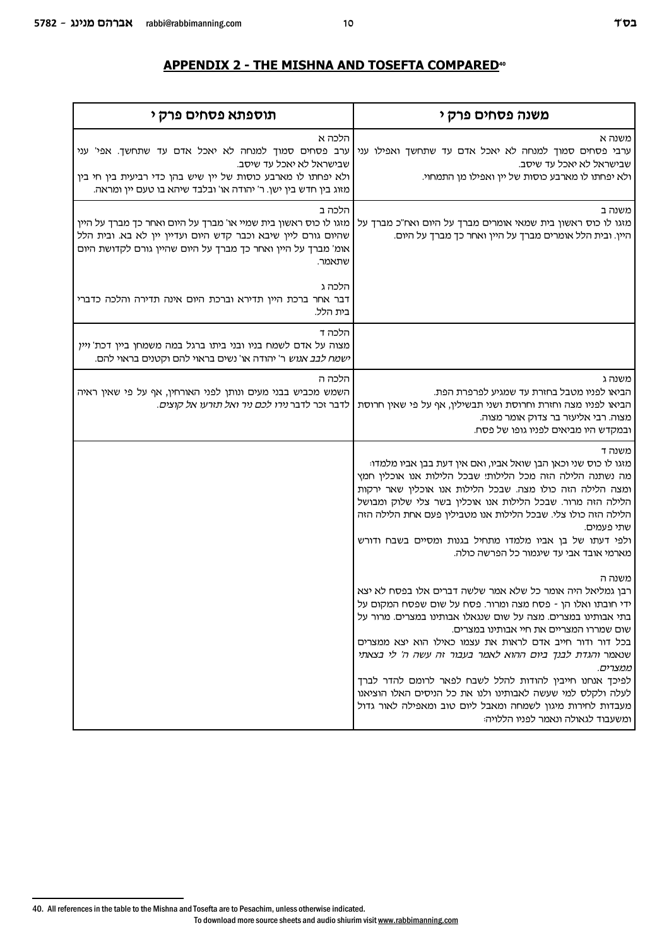| תוספתא פסחים פרק י                                                                                                                                                                                                            | משנה פסחים פרק י                                                                                                                                                                                                                                                                                                                                                                                                                                                                                                                                                                                                  |
|-------------------------------------------------------------------------------------------------------------------------------------------------------------------------------------------------------------------------------|-------------------------------------------------------------------------------------------------------------------------------------------------------------------------------------------------------------------------------------------------------------------------------------------------------------------------------------------------------------------------------------------------------------------------------------------------------------------------------------------------------------------------------------------------------------------------------------------------------------------|
| הלכה א<br>ערב פסחים סמוך למנחה לא יאכל אדם עד שתחשך. אפי' עני<br>שבישראל לא יאכל עד שיסב.<br>ולא יפחתו לו מארבע כוסות של יין שיש בהן כדי רביעית בין חי בין<br>מזוג בין חדש בין ישן. ר' יהודה או' ובלבד שיהא בו טעם יין ומראה. | משנה א<br>ערבי פסחים סמוך למנחה לא יאכל אדם עד שתחשך ואפילו עני<br>שבישראל לא יאכל עד שיסב.<br>ולא יפחתו לו מארבע כוסות של יין ואפילו מן התמחוי.                                                                                                                                                                                                                                                                                                                                                                                                                                                                  |
| הלכה ב<br>מזגו לו כוס ראשון בית שמיי או' מברך על היום ואחר כך מברך על היין<br>שהיום גורם ליין שיבא וכבר קדש היום ועדיין יין לא בא. ובית הלל<br>אומ' מברך על היין ואחר כך מברך על היום שהיין גורם לקדושת היום<br>שתאמר.        | משנה ב<br>מזגו לו כוס ראשון בית שמאי אומרים מברך על היום ואח"כ מברך על<br>היין. ובית הלל אומרים מברך על היין ואחר כך מברך על היום.                                                                                                                                                                                                                                                                                                                                                                                                                                                                                |
| הלכה ג<br>דבר אחר ברכת היין תדירא וברכת היום אינה תדירה והלכה כדברי<br>בית הלל.                                                                                                                                               |                                                                                                                                                                                                                                                                                                                                                                                                                                                                                                                                                                                                                   |
| הלכה ד<br>מצוה על אדם לשמח בניו ובני ביתו ברגל במה משמחן ביין דכת' ויין<br>ישמח לבב אנוש ר' יהודה או' נשים בראוי להם וקטנים בראוי להם.                                                                                        |                                                                                                                                                                                                                                                                                                                                                                                                                                                                                                                                                                                                                   |
| הלכה ה<br>השמש מכביש בבני מעים ונותן לפני האורחין, אף על פי שאין ראיה<br>לדבר זכר לדבר נירו לכם ניר ואל תזרעו אל קוצים.                                                                                                       | משנה ג<br>הביאו לפניו מטבל בחזרת עד שמגיע לפרפרת הפת.<br>הביאו לפניו מצה וחזרת וחרוסת ושני תבשילין, אף על פי שאין חרוסת<br>מצוה. רבי אליעזר בר צדוק אומר מצוה.<br>ובמקדש היו מביאים לפניו גופו של פסח.                                                                                                                                                                                                                                                                                                                                                                                                            |
|                                                                                                                                                                                                                               | משנה ד<br>מזגו לו כוס שני וכאן הבן שואל אביו, ואם אין דעת בבן אביו מלמדו:<br>מה נשתנה הלילה הזה מכל הלילות! שבכל הלילות אנו אוכלין חמץ<br>ומצה הלילה הזה כולו מצה. שבכל הלילות אנו אוכלין שאר ירקות<br>הלילה הזה מרור. שבכל הלילות אנו אוכלין בשר צלי שלוק ומבושל<br>הלילה הזה כולו צלי. שבכל הלילות אנו מטבילין פעם אחת הלילה הזה<br>שתי פעמים.<br>ולפי דעתו של בן אביו מלמדו מתחיל בגנות ומסיים בשבח ודורש<br>מארמי אובד אבי עד שיגמור כל הפרשה כולה.                                                                                                                                                           |
|                                                                                                                                                                                                                               | משנה ה<br>רבן גמליאל היה אומר כל שלא אמר שלשה דברים אלו בפסח לא יצא<br>ידי חובתו ואלו הן - פסח מצה ומרור. פסח על שום שפסח המקום על<br>בתי אבותינו במצרים. מצה על שום שנגאלו אבותינו במצרים. מרור על<br>שום שמררו המצריים את חיי אבותינו במצרים.<br>בכל דור ודור חייב אדם לראות את עצמו כאילו הוא יצא ממצרים<br>שנאמר והגדת לבנך ביום ההוא לאמר בעבור זה עשה ה' לי בצאתי<br>ממצרים.<br>לפיכך אנחנו חייבין להודות להלל לשבח לפאר לרומם להדר לברך<br>לעלה ולקלס למי שעשה לאבותינו ולנו את כל הניסים האלו הוציאנו<br>מעבדות לחירות מיגון לשמחה ומאבל ליום טוב ומאפילה לאור גדול<br>ומשעבוד לגאולה ונאמר לפניו הללויה: |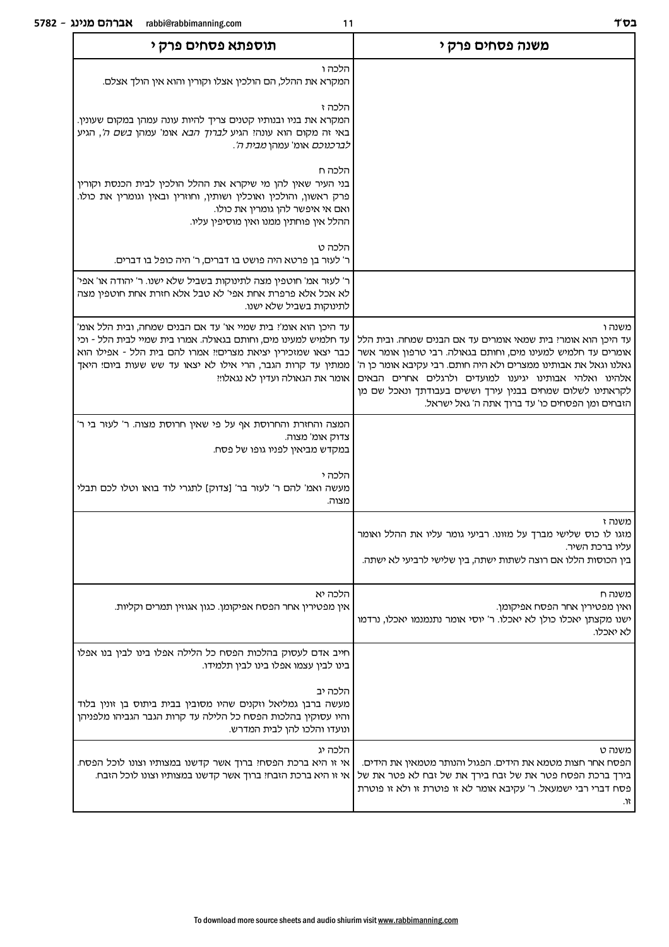| משנה פסחים פרק י                                                                                                                                                                                                                                                                                                                                                                     | תוספתא פסחים פרק י                                                                                                                                                                                                                                                                                 |  |
|--------------------------------------------------------------------------------------------------------------------------------------------------------------------------------------------------------------------------------------------------------------------------------------------------------------------------------------------------------------------------------------|----------------------------------------------------------------------------------------------------------------------------------------------------------------------------------------------------------------------------------------------------------------------------------------------------|--|
|                                                                                                                                                                                                                                                                                                                                                                                      | הלכה ו<br>המקרא את ההלל, הם הולכין אצלו וקורין והוא אין הולך אצלם.                                                                                                                                                                                                                                 |  |
|                                                                                                                                                                                                                                                                                                                                                                                      | הלכה ז<br>המקרא את בניו ובנותיו קטנים צריך להיות עונה עמהן במקום שעונין.<br>באי זה מקום הוא עונה! הגיע <i>לברוך הבא</i> אומ' עמהן <i>בשם ה'</i> , הגיע<br><i>לברכנוכם</i> אומ' עמהן <i>מבית ה'</i> .                                                                                               |  |
|                                                                                                                                                                                                                                                                                                                                                                                      | הלכה ח<br>בני העיר שאין להן מי שיקרא את ההלל הולכין לבית הכנסת וקורין<br>פרק ראשון, והולכין ואוכלין ושותין, וחוזרין ובאין וגומרין את כולו.<br>ואם אי איפשר להן גומרין את כולו.<br>ההלל אין פוחתין ממנו ואין מוסיפין עליו.                                                                          |  |
|                                                                                                                                                                                                                                                                                                                                                                                      | הלכה ט<br>ר' לעזר בן פרטא היה פושט בו דברים, ר' היה כופל בו דברים.                                                                                                                                                                                                                                 |  |
|                                                                                                                                                                                                                                                                                                                                                                                      | ר' לעזר אמ' חוטפין מצה לתינוקות בשביל שלא ישנו. ר' יהודה או' אפי'<br>לא אכל אלא פרפרת אחת אפי' לא טבל אלא חזרת אחת חוטפין מצה<br>לתינוקות בשביל שלא ישנו.                                                                                                                                          |  |
| משנה ו<br>עד היכן הוא אומרי בית שמאי אומרים עד אם הבנים שמחה. ובית הלל<br>אומרים עד חלמיש למעינו מים, וחותם בגאולה. רבי טרפון אומר אשר<br>גאלנו וגאל את אבותינו ממצרים ולא היה חותם. רבי עקיבא אומר כן ה'<br>אלהינו ואלהי אבותינו יגיענו למועדים ולרגלים אחרים הבאים<br>לקראתינו לשלום שמחים בבנין עירך וששים בעבודתך ונאכל שם מן<br>הזבחים ומן הפסחים כו' עד ברוך אתה ה' גאל ישראל. | עד היכן הוא אומ': בית שמיי או' עד אם הבנים שמחה, ובית הלל אומ'<br>עד חלמיש למעינו מים, וחותם בגאולה. אמרו בית שמיי לבית הלל - וכי<br>כבר יצאו שמזכירין יציאת מצרים!! אמרו להם בית הלל - אפילו הוא<br>ממתין עד קרות הגבר, הרי אילו לא יצאו עד שש שעות ביום! היאך<br>אומר את הגאולה ועדין לא נגאלו!! |  |
|                                                                                                                                                                                                                                                                                                                                                                                      | המצה והחזרת והחרוסת אף על פי שאין חרוסת מצוה. ר' לעזר בי ר'<br>צדוק אומ' מצוה.<br>במקדש מביאין לפניו גופו של פסח.                                                                                                                                                                                  |  |
|                                                                                                                                                                                                                                                                                                                                                                                      | הלכה י<br>מעשה ואמ' להם ר' לעזר בר' [צדוק] לתגרי לוד בואו וטלו לכם תבלי<br>מצוה.                                                                                                                                                                                                                   |  |
| משנה ז<br>מזגו לו כוס שלישי מברך על מזונו. רביעי גומר עליו את ההלל ואומר<br>עליו ברכת השיר.<br>בין הכוסות הללו אם רוצה לשתות ישתה, בין שלישי לרביעי לא ישתה.                                                                                                                                                                                                                         |                                                                                                                                                                                                                                                                                                    |  |
| משנה ח<br>ואין מפטירין אחר הפסח אפיקומן.<br>ישנו מקצתן יאכלו כולן לא יאכלו. ר' יוסי אומר נתנמנמו יאכלו, נרדמו<br>לא יאכלו.                                                                                                                                                                                                                                                           | הלכה יא<br>אין מפטירין אחר הפסח אפיקומן. כגון אגוזין תמרים וקליות.                                                                                                                                                                                                                                 |  |
|                                                                                                                                                                                                                                                                                                                                                                                      | חייב אדם לעסוק בהלכות הפסח כל הלילה אפלו בינו לבין בנו אפלו<br>בינו לבין עצמו אפלו בינו לבין תלמידו.                                                                                                                                                                                               |  |
|                                                                                                                                                                                                                                                                                                                                                                                      | הלכה יב<br>מעשה ברבן גמליאל וזקנים שהיו מסובין בבית ביתוס בן זונין בלוד<br>והיו עסוקין בהלכות הפסח כל הלילה עד קרות הגבר הגביהו מלפניהן<br>ונועדו והלכו להן לבית המדרש.                                                                                                                            |  |
| משנה ט<br>הפסח אחר חצות מטמא את הידים. הפגול והנותר מטמאין את הידים.<br>בירך ברכת הפסח פטר את של זבח בירך את של זבח לא פטר את של<br>פסח דברי רבי ישמעאל. ר' עקיבא אומר לא זו פוטרת זו ולא זו פוטרת                                                                                                                                                                                   | הלכה יג<br>אי זו היא ברכת הפסח! ברוך אשר קדשנו במצותיו וצונו לוכל הפסח.<br>אי זו היא ברכת הזבח! ברוך אשר קדשנו במצותיו וצונו לוכל הזבח.                                                                                                                                                            |  |

 $\mathfrak{m}$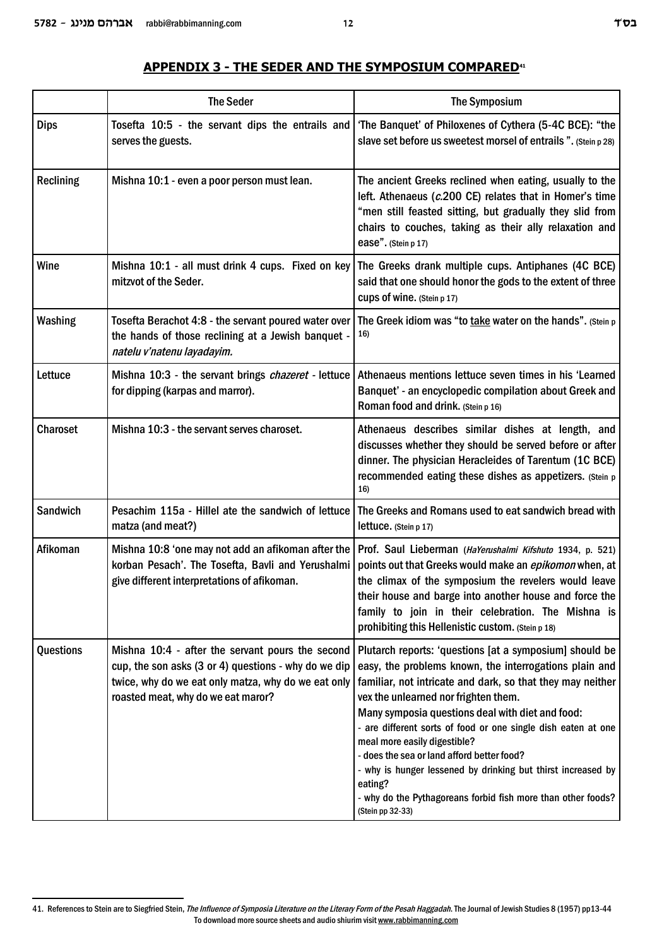| <b>Dips</b>     | serves the guests.                                                                                                                                                                                    | Tosefta 10:5 - the servant dips the entrails and fore Banquet' of Philoxenes of Cythera (5-4C BCE): "the<br>slave set before us sweetest morsel of entrails ". (Stein p 28)                                                                                                                                                                                                                                                                                                                |
|-----------------|-------------------------------------------------------------------------------------------------------------------------------------------------------------------------------------------------------|--------------------------------------------------------------------------------------------------------------------------------------------------------------------------------------------------------------------------------------------------------------------------------------------------------------------------------------------------------------------------------------------------------------------------------------------------------------------------------------------|
| Reclining       | Mishna 10:1 - even a poor person must lean.                                                                                                                                                           | The ancient Greeks reclined when eating, usually to the<br>left. Athenaeus (c.200 CE) relates that in Homer's time<br>"men still feasted sitting, but gradually they slid from<br>chairs to couches, taking as their ally relaxation and<br>ease". (Stein p 17)                                                                                                                                                                                                                            |
| Wine            | Mishna 10:1 - all must drink 4 cups. Fixed on key<br>mitzvot of the Seder.                                                                                                                            | The Greeks drank multiple cups. Antiphanes (4C BCE)<br>said that one should honor the gods to the extent of three<br>Cups of wine. (Stein p 17)                                                                                                                                                                                                                                                                                                                                            |
| <b>Washing</b>  | Tosefta Berachot 4:8 - the servant poured water over<br>the hands of those reclining at a Jewish banquet -<br>natelu v'natenu layadayim.                                                              | The Greek idiom was "to take water on the hands". (Stein p<br>16)                                                                                                                                                                                                                                                                                                                                                                                                                          |
| Lettuce         | Mishna 10:3 - the servant brings chazeret - lettuce<br>for dipping (karpas and marror).                                                                                                               | Athenaeus mentions lettuce seven times in his 'Learned<br>Banquet' - an encyclopedic compilation about Greek and<br>Roman food and drink. (Stein p 16)                                                                                                                                                                                                                                                                                                                                     |
| <b>Charoset</b> | Mishna 10:3 - the servant serves charoset.                                                                                                                                                            | Athenaeus describes similar dishes at length, and<br>discusses whether they should be served before or after<br>dinner. The physician Heracleides of Tarentum (1C BCE)<br>recommended eating these dishes as appetizers. (Stein p<br>16)                                                                                                                                                                                                                                                   |
| Sandwich        | Pesachim 115a - Hillel ate the sandwich of lettuce<br>matza (and meat?)                                                                                                                               | The Greeks and Romans used to eat sandwich bread with<br>lettuce. (Stein p 17)                                                                                                                                                                                                                                                                                                                                                                                                             |
| Afikoman        | Mishna 10:8 'one may not add an afikoman after the<br>korban Pesach'. The Tosefta, Bavli and Yerushalmi<br>give different interpretations of afikoman.                                                | Prof. Saul Lieberman (HaYerushalmi Kifshuto 1934, p. 521)<br>points out that Greeks would make an epikomon when, at<br>the climax of the symposium the revelers would leave<br>their house and barge into another house and force the<br>family to join in their celebration. The Mishna is<br>prohibiting this Hellenistic custom. (Stein p 18)                                                                                                                                           |
| Questions       | Mishna 10:4 - after the servant pours the second<br>cup, the son asks (3 or 4) questions - why do we dip<br>twice, why do we eat only matza, why do we eat only<br>roasted meat, why do we eat maror? | Plutarch reports: 'questions [at a symposium] should be<br>easy, the problems known, the interrogations plain and<br>familiar, not intricate and dark, so that they may neither<br>vex the unlearned nor frighten them.<br>Many symposia questions deal with diet and food:<br>- are different sorts of food or one single dish eaten at one<br>meal more easily digestible?<br>- does the sea or land afford better food?<br>- why is hunger lessened by drinking but thirst increased by |

## **APPENDIX 3 - THE SEDER AND THE SYMPOSIUM COMPARED<sup>41</sup>**

eating?

(Stein pp 32-33)

- why do the Pythagoreans forbid fish more than other foods?

The Seder The Symposium

<sup>41.</sup> References to Stein are to Siegfried Stein, *The Influence of Symposia Literature on the Literary Form of the Pesah Haggadah*. The Journal of Jewish Studies 8 (1957) pp13-44 To download more source sheets and audio shiurim visit www.rabbimanning.com